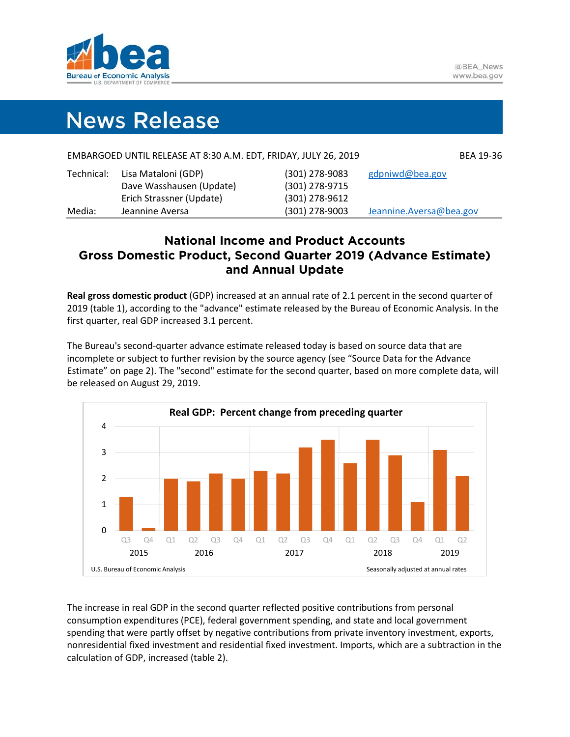

# **News Release**

|            | EMBARGOED UNTIL RELEASE AT 8:30 A.M. EDT, FRIDAY, JULY 26, 2019 |                  | BEA 19-36               |
|------------|-----------------------------------------------------------------|------------------|-------------------------|
| Technical: | Lisa Mataloni (GDP)                                             | $(301)$ 278-9083 | gdpniwd@bea.gov         |
|            | Dave Wasshausen (Update)                                        | (301) 278-9715   |                         |
|            | Erich Strassner (Update)                                        | (301) 278-9612   |                         |
| Media:     | Jeannine Aversa                                                 | $(301)$ 278-9003 | Jeannine.Aversa@bea.gov |

# **National Income and Product Accounts Gross Domestic Product, Second Quarter 2019 (Advance Estimate) and Annual Update**

**Real gross domestic product** (GDP) increased at an annual rate of 2.1 percent in the second quarter of 2019 (table 1), according to the "advance" estimate released by the Bureau of Economic Analysis. In the first quarter, real GDP increased 3.1 percent.

The Bureau's second-quarter advance estimate released today is based on source data that are incomplete or subject to further revision by the source agency (see "Source Data for the Advance Estimate" on page 2). The "second" estimate for the second quarter, based on more complete data, will be released on August 29, 2019.



The increase in real GDP in the second quarter reflected positive contributions from personal consumption expenditures (PCE), federal government spending, and state and local government spending that were partly offset by negative contributions from private inventory investment, exports, nonresidential fixed investment and residential fixed investment. Imports, which are a subtraction in the calculation of GDP, increased (table 2).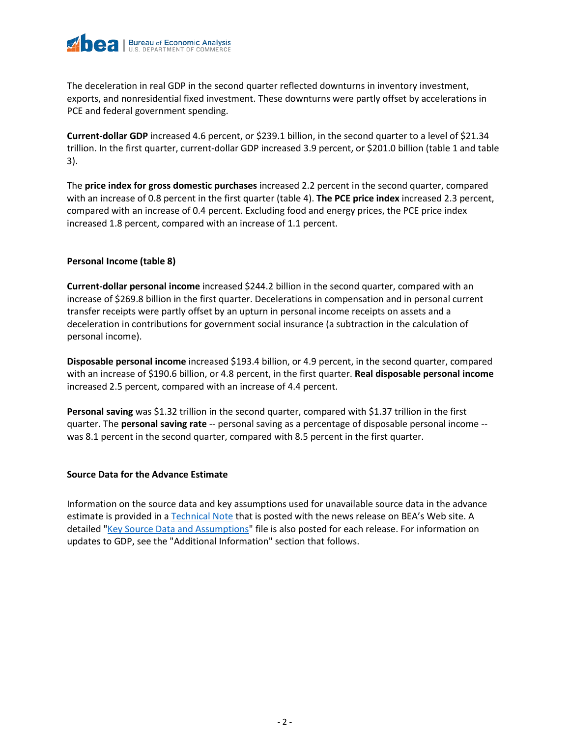

The deceleration in real GDP in the second quarter reflected downturns in inventory investment, exports, and nonresidential fixed investment. These downturns were partly offset by accelerations in PCE and federal government spending.

**Current-dollar GDP** increased 4.6 percent, or \$239.1 billion, in the second quarter to a level of \$21.34 trillion. In the first quarter, current-dollar GDP increased 3.9 percent, or \$201.0 billion (table 1 and table 3).

The **price index for gross domestic purchases** increased 2.2 percent in the second quarter, compared with an increase of 0.8 percent in the first quarter (table 4). **The PCE price index** increased 2.3 percent, compared with an increase of 0.4 percent. Excluding food and energy prices, the PCE price index increased 1.8 percent, compared with an increase of 1.1 percent.

# **Personal Income (table 8)**

**Current-dollar personal income** increased \$244.2 billion in the second quarter, compared with an increase of \$269.8 billion in the first quarter. Decelerations in compensation and in personal current transfer receipts were partly offset by an upturn in personal income receipts on assets and a deceleration in contributions for government social insurance (a subtraction in the calculation of personal income).

**Disposable personal income** increased \$193.4 billion, or 4.9 percent, in the second quarter, compared with an increase of \$190.6 billion, or 4.8 percent, in the first quarter. **Real disposable personal income** increased 2.5 percent, compared with an increase of 4.4 percent.

**Personal saving** was \$1.32 trillion in the second quarter, compared with \$1.37 trillion in the first quarter. The **personal saving rate** -- personal saving as a percentage of disposable personal income - was 8.1 percent in the second quarter, compared with 8.5 percent in the first quarter.

# **Source Data for the Advance Estimate**

Information on the source data and key assumptions used for unavailable source data in the advance estimate is provided in a [Technical Note](https://www.bea.gov/system/files/2019-07/tech2q19_adv.pdf) that is posted with the news release on BEA's Web site. A detailed ["Key Source Data and Assumptions"](https://www.bea.gov/system/files/2019-07/GDPKeySource_2q19_07-26-19.xlsx) file is also posted for each release. For information on updates to GDP, see the "Additional Information" section that follows.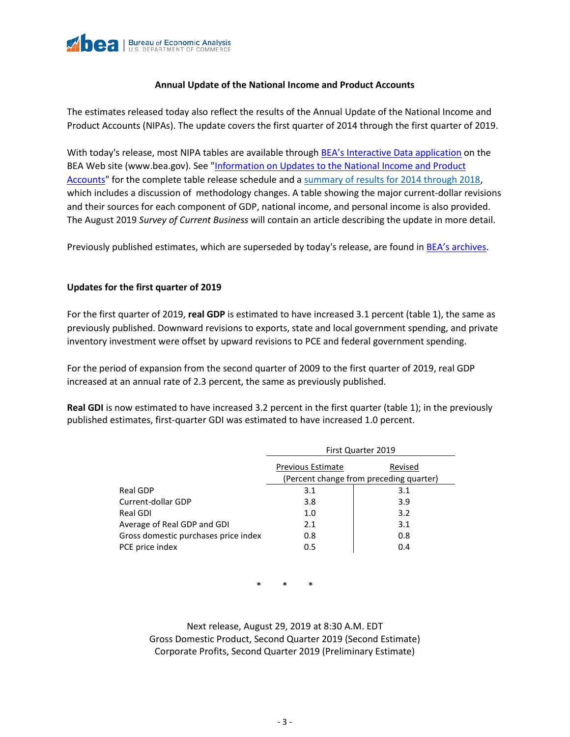

# **Annual Update of the National Income and Product Accounts**

The estimates released today also reflect the results of the Annual Update of the National Income and Product Accounts (NIPAs). The update covers the first quarter of 2014 through the first quarter of 2019.

With today's release, most NIPA tables are available through [BEA's Interactive Data application](https://apps.bea.gov/iTable/index_nipa.cfm) on the BEA Web site [\(www.bea.gov\)](http://www.bea.gov/). See "Information on [Updates to the National Income and Product](http://www.bea.gov/information-updates-national-income-and-product-accounts)  [Accounts"](http://www.bea.gov/information-updates-national-income-and-product-accounts) for the complete table release schedule and a [summary of results for 2014 through 2018,](https://www.bea.gov/docs/gdp/summary-of-results-for-2014-2018-full-text-and-tables) which includes a discussion of methodology changes. A table showing the major current-dollar revisions and their sources for each component of GDP, national income, and personal income is also provided. The August 2019 *Survey of Current Business* will contain an article describing the update in more detail.

Previously published estimates, which are superseded by today's release, are found in **BEA's archives**.

# **Updates for the first quarter of 2019**

For the first quarter of 2019, **real GDP** is estimated to have increased 3.1 percent (table 1), the same as previously published. Downward revisions to exports, state and local government spending, and private inventory investment were offset by upward revisions to PCE and federal government spending.

For the period of expansion from the second quarter of 2009 to the first quarter of 2019, real GDP increased at an annual rate of 2.3 percent, the same as previously published.

**Real GDI** is now estimated to have increased 3.2 percent in the first quarter (table 1); in the previously published estimates, first-quarter GDI was estimated to have increased 1.0 percent.

|                                      |                          | First Quarter 2019                      |
|--------------------------------------|--------------------------|-----------------------------------------|
|                                      | <b>Previous Estimate</b> | Revised                                 |
|                                      |                          | (Percent change from preceding quarter) |
| Real GDP                             | 3.1                      | 3.1                                     |
| Current-dollar GDP                   | 3.8                      | 3.9                                     |
| Real GDI                             | 1.0                      | 3.2                                     |
| Average of Real GDP and GDI          | 2.1                      | 3.1                                     |
| Gross domestic purchases price index | 0.8                      | 0.8                                     |
| PCE price index                      | 0.5                      | 0.4                                     |

\* \* \*

Next release, August 29, 2019 at 8:30 A.M. EDT Gross Domestic Product, Second Quarter 2019 (Second Estimate) Corporate Profits, Second Quarter 2019 (Preliminary Estimate)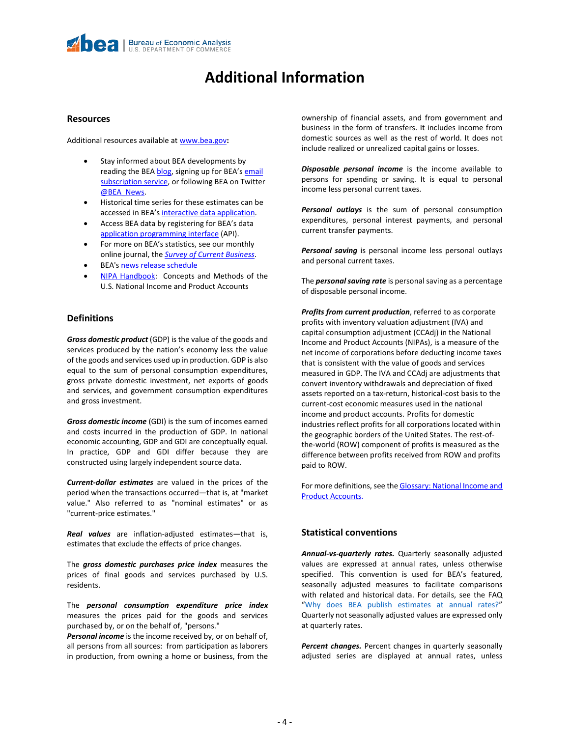# **Additional Information**

#### **Resources**

Additional resources available at [www.bea.gov](https://www.bea.gov/)**:** 

- Stay informed about BEA developments by reading the BE[A blog,](https://www.bea.gov/news/blog) signing up for BEA's email [subscription service,](https://www.bea.gov/_subscribe/) or following BEA on Twitter [@BEA\\_News.](https://www.twitter.com/BEA_News)
- Historical time series for these estimates can be accessed in BEA's [interactive data application.](https://apps.bea.gov/itable/index.cfm)
- Access BEA data by registering for BEA's data [application programming interface](https://apps.bea.gov/API/signup/index.cfm) (API).
- For more on BEA's statistics, see our monthly online journal, the *[Survey of Current Business](https://apps.bea.gov/scb/index.htm)*.
- BEA'[s news release schedule](https://www.bea.gov/news/schedule)
- **[NIPA Handbook:](https://www.bea.gov/resources/methodologies/nipa-handbook)** Concepts and Methods of the U.S. National Income and Product Accounts

#### **Definitions**

*Gross domestic product* (GDP) is the value of the goods and services produced by the nation's economy less the value of the goods and services used up in production. GDP is also equal to the sum of personal consumption expenditures, gross private domestic investment, net exports of goods and services, and government consumption expenditures and gross investment.

*Gross domestic income* (GDI) is the sum of incomes earned and costs incurred in the production of GDP. In national economic accounting, GDP and GDI are conceptually equal. In practice, GDP and GDI differ because they are constructed using largely independent source data.

*Current-dollar estimates* are valued in the prices of the period when the transactions occurred—that is, at "market value." Also referred to as "nominal estimates" or as "current-price estimates."

*Real values* are inflation-adjusted estimates—that is, estimates that exclude the effects of price changes.

The *gross domestic purchases price index* measures the prices of final goods and services purchased by U.S. residents.

The *personal consumption expenditure price index* measures the prices paid for the goods and services purchased by, or on the behalf of, "persons."

*Personal income* is the income received by, or on behalf of, all persons from all sources: from participation as laborers in production, from owning a home or business, from the ownership of financial assets, and from government and business in the form of transfers. It includes income from domestic sources as well as the rest of world. It does not include realized or unrealized capital gains or losses.

*Disposable personal income* is the income available to persons for spending or saving. It is equal to personal income less personal current taxes.

*Personal outlays* is the sum of personal consumption expenditures, personal interest payments, and personal current transfer payments.

*Personal saving* is personal income less personal outlays and personal current taxes.

The *personal saving rate* is personal saving as a percentage of disposable personal income.

*Profits from current production*, referred to as corporate profits with inventory valuation adjustment (IVA) and capital consumption adjustment (CCAdj) in the National Income and Product Accounts (NIPAs), is a measure of the net income of corporations before deducting income taxes that is consistent with the value of goods and services measured in GDP. The IVA and CCAdj are adjustments that convert inventory withdrawals and depreciation of fixed assets reported on a tax-return, historical-cost basis to the current-cost economic measures used in the national income and product accounts. Profits for domestic industries reflect profits for all corporations located within the geographic borders of the United States. The rest-ofthe-world (ROW) component of profits is measured as the difference between profits received from ROW and profits paid to ROW.

For more definitions, see the **Glossary: National Income and** [Product Accounts.](https://www.bea.gov/sites/default/files/methodologies/nipa-handbook-all-chapters.pdf#page=415)

# **Statistical conventions**

*Annual-vs-quarterly rates.* Quarterly seasonally adjusted values are expressed at annual rates, unless otherwise specified. This convention is used for BEA's featured, seasonally adjusted measures to facilitate comparisons with related and historical data. For details, see the FAQ ["Why does BEA publish estimates at annual rates?"](https://www.bea.gov/help/faq/121) Quarterly not seasonally adjusted values are expressed only at quarterly rates.

*Percent changes.* Percent changes in quarterly seasonally adjusted series are displayed at annual rates, unless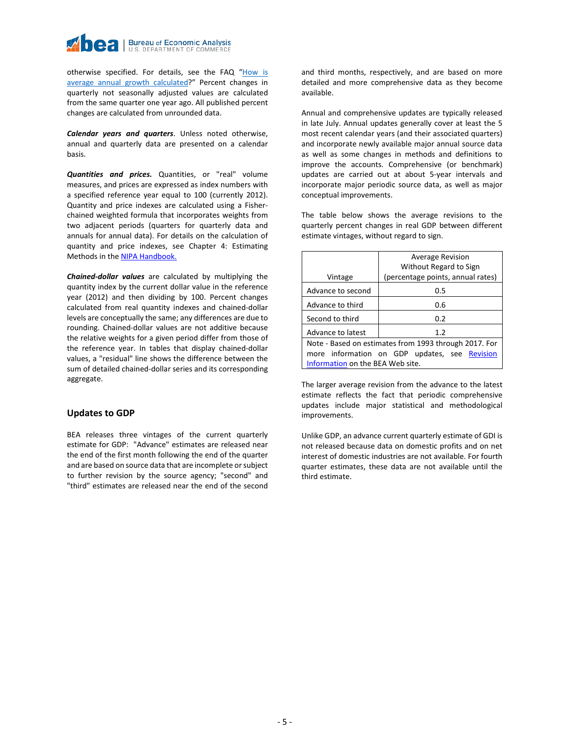otherwise specified. For details, see the FAQ "How is [average annual growth calculated?](https://www.bea.gov/help/faq/463)" Percent changes in quarterly not seasonally adjusted values are calculated from the same quarter one year ago. All published percent changes are calculated from unrounded data.

*Calendar years and quarters*. Unless noted otherwise, annual and quarterly data are presented on a calendar basis.

*Quantities and prices.* Quantities, or "real" volume measures, and prices are expressed as index numbers with a specified reference year equal to 100 (currently 2012). Quantity and price indexes are calculated using a Fisherchained weighted formula that incorporates weights from two adjacent periods (quarters for quarterly data and annuals for annual data). For details on the calculation of quantity and price indexes, see Chapter 4: Estimating Methods in the [NIPA Handbook.](https://www.bea.gov/resources/methodologies/nipa-handbook) 

*Chained-dollar values* are calculated by multiplying the quantity index by the current dollar value in the reference year (2012) and then dividing by 100. Percent changes calculated from real quantity indexes and chained-dollar levels are conceptually the same; any differences are due to rounding. Chained-dollar values are not additive because the relative weights for a given period differ from those of the reference year. In tables that display chained-dollar values, a "residual" line shows the difference between the sum of detailed chained-dollar series and its corresponding aggregate.

#### **Updates to GDP**

BEA releases three vintages of the current quarterly estimate for GDP: "Advance" estimates are released near the end of the first month following the end of the quarter and are based on source data that are incomplete or subject to further revision by the source agency; "second" and "third" estimates are released near the end of the second and third months, respectively, and are based on more detailed and more comprehensive data as they become available.

Annual and comprehensive updates are typically released in late July. Annual updates generally cover at least the 5 most recent calendar years (and their associated quarters) and incorporate newly available major annual source data as well as some changes in methods and definitions to improve the accounts. Comprehensive (or benchmark) updates are carried out at about 5-year intervals and incorporate major periodic source data, as well as major conceptual improvements.

The table below shows the average revisions to the quarterly percent changes in real GDP between different estimate vintages, without regard to sign.

| Vintage                          | <b>Average Revision</b><br>Without Regard to Sign<br>(percentage points, annual rates) |
|----------------------------------|----------------------------------------------------------------------------------------|
| Advance to second                | 0.5                                                                                    |
| Advance to third                 | 0.6                                                                                    |
| Second to third                  | 0.2                                                                                    |
| Advance to latest                | 1.2                                                                                    |
|                                  | Note - Based on estimates from 1993 through 2017. For                                  |
|                                  | more information on GDP updates, see Revision                                          |
| Information on the BEA Web site. |                                                                                        |

The larger average revision from the advance to the latest estimate reflects the fact that periodic comprehensive updates include major statistical and methodological improvements.

Unlike GDP, an advance current quarterly estimate of GDI is not released because data on domestic profits and on net interest of domestic industries are not available. For fourth quarter estimates, these data are not available until the third estimate.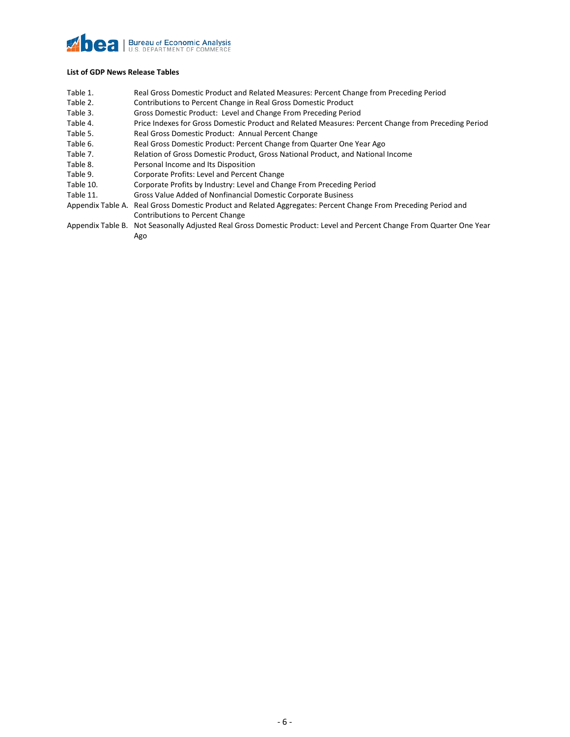### **Zhea Bureau of Economic Analysis**<br>U.S. DEPARTMENT OF COMMERCE

#### **List of GDP News Release Tables**

- Table 1. Real Gross Domestic Product and Related Measures: Percent Change from Preceding Period
- Table 2. Contributions to Percent Change in Real Gross Domestic Product
- Table 3. Gross Domestic Product: Level and Change From Preceding Period
- Table 4. Price Indexes for Gross Domestic Product and Related Measures: Percent Change from Preceding Period
- Table 5. Real Gross Domestic Product: Annual Percent Change
- Table 6. Real Gross Domestic Product: Percent Change from Quarter One Year Ago
- Table 7. Relation of Gross Domestic Product, Gross National Product, and National Income
- Table 8. Personal Income and Its Disposition
- Table 9. Corporate Profits: Level and Percent Change
- Table 10. Corporate Profits by Industry: Level and Change From Preceding Period
- Table 11. Gross Value Added of Nonfinancial Domestic Corporate Business
- Appendix Table A. Real Gross Domestic Product and Related Aggregates: Percent Change From Preceding Period and Contributions to Percent Change
- Appendix Table B. Not Seasonally Adjusted Real Gross Domestic Product: Level and Percent Change From Quarter One Year Ago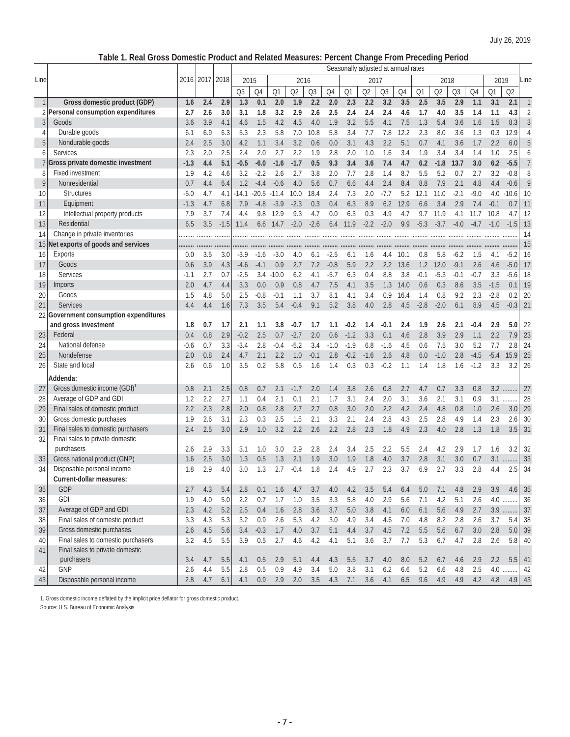# **Table 1. Real Gross Domestic Product and Related Measures: Percent Change From Preceding Period**

|              |                                        |        |      |        |         |                |         |        |        |        | Seasonally adjusted at annual rates |        |                |      |        |        |        |        |        |          |                |
|--------------|----------------------------------------|--------|------|--------|---------|----------------|---------|--------|--------|--------|-------------------------------------|--------|----------------|------|--------|--------|--------|--------|--------|----------|----------------|
| Line         |                                        | 2016   | 2017 | 2018   | 2015    |                |         | 2016   |        |        |                                     | 2017   |                |      |        | 2018   |        |        | 2019   |          | Line           |
|              |                                        |        |      |        | Q3      | Q4             | Q1      | Q2     | Q3     | Q4     | Q1                                  | Q2     | Q <sub>3</sub> | Q4   | Q1     | Q2     | Q3     | Q4     | Q1     | Q2       |                |
| $\mathbf{1}$ | Gross domestic product (GDP)           | 1.6    | 2.4  | 2.9    | 1.3     | 0.1            | 2.0     | 1.9    | 2.2    | 2.0    | 2.3                                 | 2.2    | 3.2            | 3.5  | 2.5    | 3.5    | 2.9    | 1.1    | 3.1    | 2.1      | $\mathbf{1}$   |
|              | 2 Personal consumption expenditures    | 2.7    | 2.6  | 3.0    | 3.1     | 1.8            | 3.2     | 2.9    | 2.6    | 2.5    | 2.4                                 | 2.4    | 2.4            | 4.6  | 1.7    | 4.0    | 3.5    | 1.4    | 1.1    | 4.3      | $\overline{2}$ |
| 3            | Goods                                  | 3.6    | 3.9  | 4.1    | 4.6     | 1.5            | 4.2     | 4.5    | 4.0    | 1.9    | 3.2                                 | 5.5    | 4.1            | 7.5  | 1.3    | 5.4    | 3.6    | 1.6    | 1.5    | 8.3      | $\mathfrak{Z}$ |
| 4            | Durable goods                          | 6.1    | 6.9  | 6.3    | 5.3     | 2.3            | 5.8     | 7.0    | 10.8   | 5.8    | 3.4                                 | 7.7    | 7.8            | 12.2 | 2.3    | 8.0    | 3.6    | 1.3    | 0.3    | 12.9     | $\overline{4}$ |
| 5            | Nondurable goods                       | 2.4    | 2.5  | 3.0    | 4.2     | 1.1            | 3.4     | 3.2    | 0.6    | 0.0    | 3.1                                 | 4.3    | 2.2            | 5.1  | 0.7    | 4.1    | 3.6    | 1.7    | 2.2    | 6.0      | 5              |
| 6            | Services                               | 2.3    | 2.0  | 2.5    | 2.4     | 2.0            | 2.7     | 2.2    | 1.9    | 2.8    | 2.0                                 | 1.0    | 1.6            | 3.4  | 1.9    | 3.4    | 3.4    | 1.4    | 1.0    | 2.5      | 6              |
|              | Gross private domestic investment      | $-1.3$ | 4.4  | 5.1    | $-0.5$  | $-6.0$         | $-1.6$  | $-1.7$ | 0.5    | 9.3    | 3.4                                 | 3.6    | 7.4            | 4.7  | 6.2    | $-1.8$ | 13.7   | 3.0    | 6.2    | $-5.5$   | $\overline{7}$ |
| 8            | <b>Fixed investment</b>                | 1.9    | 4.2  | 4.6    | 3.2     | $-2.2$         | 2.6     | 2.7    | 3.8    | 2.0    | 7.7                                 | 2.8    | 1.4            | 8.7  | 5.5    | 5.2    | 0.7    | 2.7    | 3.2    | $-0.8$   | 8              |
| 9            | Nonresidential                         | 0.7    | 4.4  | 6.4    | 1.2     | $-4.4$         | $-0.6$  | 4.0    | 5.6    | 0.7    | 6.6                                 | 4.4    | 2.4            | 8.4  | 8.8    | 7.9    | 2.1    | 4.8    | 4.4    | $-0.6$   | 9              |
| 10           | <b>Structures</b>                      | $-5.0$ | 4.7  | 4.1    | $-14.1$ | $-20.5 - 11.4$ |         | 10.0   | 18.4   | 2.4    | 7.3                                 | 2.0    | $-7.7$         | 5.2  | 12.1   | 11.0   | $-2.1$ | $-9.0$ | 4.0    | $-10.6$  | 10             |
| 11           | Equipment                              | $-1.3$ | 4.7  | 6.8    | 7.9     | $-4.8$         | $-3.9$  | $-2.3$ | 0.3    | 0.4    | 6.3                                 | 8.9    | 6.2            | 12.9 | 6.6    | 3.4    | 2.9    | 7.4    | $-0.1$ | 0.7      | 11             |
| 12           | Intellectual property products         | 7.9    | 3.7  | 7.4    | 4.4     | 9.8            | 12.9    | 9.3    | 4.7    | 0.0    | 6.3                                 | 0.3    | 4.9            | 4.7  | 9.7    | 11.9   | 4.1    | 11.7   | 10.8   | 4.7      | 12             |
| 13           | Residential                            | 6.5    | 3.5  | $-1.5$ | 11.4    | 6.6            | 14.7    | $-2.0$ | $-2.6$ | 6.4    | 11.9                                | $-2.2$ | $-2.0$         | 9.9  | $-5.3$ | $-3.7$ | $-4.0$ | $-4.7$ | $-1.0$ | $-1.5$   | 13             |
| 14           | Change in private inventories          |        |      |        |         |                |         |        |        |        |                                     |        |                |      |        |        |        |        |        |          | 14             |
| 15           | Net exports of goods and services      |        |      |        |         |                |         |        |        |        |                                     |        |                |      |        |        |        |        |        |          | 15             |
| 16           | <b>Exports</b>                         | 0.0    | 3.5  | 3.0    | $-3.9$  | $-1.6$         | $-3.0$  | 4.0    | 6.1    | $-2.5$ | 6.1                                 | 1.6    | 4.4            | 10.1 | 0.8    | 5.8    | $-6.2$ | 1.5    | 4.1    | $-5.2$   | 16             |
| 17           | Goods                                  | 0.6    | 3.9  | 4.3    | $-4.6$  | $-4.1$         | 0.9     | 2.7    | 7.2    | $-0.8$ | 5.9                                 | 2.2    | 2.2            | 13.6 | 1.2    | 12.0   | $-9.1$ | 2.6    | 4.6    | $-5.0$   | 17             |
| 18           | Services                               | $-1.1$ | 2.7  | 0.7    | $-2.5$  | 3.4            | $-10.0$ | 6.2    | 4.1    | $-5.7$ | 6.3                                 | 0.4    | 8.8            | 3.8  | $-0.1$ | $-5.3$ | $-0.1$ | $-0.7$ | 3.3    | $-5.6$   | 18             |
| 19           | Imports                                | 2.0    | 4.7  | 4.4    | 3.3     | 0.0            | 0.9     | 0.8    | 4.7    | 7.5    | 4.1                                 | 3.5    | 1.3            | 14.0 | 0.6    | 0.3    | 8.6    | 3.5    | $-1.5$ | 0.1      | 19             |
| 20           | Goods                                  | 1.5    | 4.8  | 5.0    | 2.5     | $-0.8$         | $-0.1$  | 1.1    | 3.7    | 8.1    | 4.1                                 | 3.4    | 0.9            | 16.4 | 1.4    | 0.8    | 9.2    | 2.3    | $-2.8$ | 0.2      | 20             |
| 21           | <b>Services</b>                        | 4.4    | 4.4  | 1.6    | 7.3     | 3.5            | 5.4     | $-0.4$ | 9.1    | 5.2    | 3.8                                 | 4.0    | 2.8            | 4.5  | $-2.8$ | $-2.0$ | 6.1    | 8.9    | 4.5    | $-0.3$   | 21             |
|              | 22 Government consumption expenditures |        |      |        |         |                |         |        |        |        |                                     |        |                |      |        |        |        |        |        |          |                |
|              | and gross investment                   | 1.8    | 0.7  | 1.7    | 2.1     | 1.1            | 3.8     | $-0.7$ | 1.7    | 1.1    | $-0.2$                              | 1.4    | $-0.1$         | 2.4  | 1.9    | 2.6    | 2.1    | $-0.4$ | 2.9    | 5.0      | 22             |
| 23           | Federal                                | 0.4    | 0.8  | 2.9    | $-0.2$  | 2.5            | 0.7     | $-2.7$ | 2.0    | 0.6    | $-1.2$                              | 3.3    | 0.1            | 4.6  | 2.8    | 3.9    | 2.9    | 1.1    | 2.2    | 7.9      | 23             |
| 24           | National defense                       | $-0.6$ | 0.7  | 3.3    | $-3.4$  | 2.8            | $-0.4$  | $-5.2$ | 3.4    | $-1.0$ | $-1.9$                              | 6.8    | $-1.6$         | 4.5  | 0.6    | 7.5    | 3.0    | 5.2    | 7.7    | 2.8      | 24             |
| 25           | Nondefense                             | 2.0    | 0.8  | 2.4    | 4.7     | 2.1            | 2.2     | 1.0    | $-0.1$ | 2.8    | $-0.2$                              | $-1.6$ | 2.6            | 4.8  | 6.0    | $-1.0$ | 2.8    | $-4.5$ | $-5.4$ | 15.9     | 25             |
| 26           | State and local                        | 2.6    | 0.6  | 1.0    | 3.5     | 0.2            | 5.8     | 0.5    | 1.6    | 1.4    | 0.3                                 | 0.3    | $-0.2$         | 1.1  | 1.4    | 1.8    | 1.6    | $-1.2$ | 3.3    | 3.2      | 26             |
|              | Addenda:                               |        |      |        |         |                |         |        |        |        |                                     |        |                |      |        |        |        |        |        |          |                |
|              | Gross domestic income (GDI)            | 0.8    | 2.1  | 2.5    | 0.8     | 0.7            | 2.1     | $-1.7$ | 2.0    | 1.4    | 3.8                                 | 2.6    | 0.8            | 2.7  | 4.7    | 0.7    | 3.3    | 0.8    | 3.2    |          | 27             |
| 27<br>28     | Average of GDP and GDI                 | 1.2    | 2.2  | 2.7    | 1.1     | 0.4            | 2.1     | 0.1    | 2.1    | 1.7    | 3.1                                 | 2.4    | 2.0            | 3.1  | 3.6    | 2.1    | 3.1    | 0.9    | 3.1    |          | 28             |
| 29           | Final sales of domestic product        | 2.2    | 2.3  | 2.8    | 2.0     | 0.8            | 2.8     | 2.7    | 2.7    | 0.8    | 3.0                                 | 2.0    | 2.2            | 4.2  | 2.4    | 4.8    | 0.8    | 1.0    | 2.6    | 3.0      | 29             |
| 30           | Gross domestic purchases               | 1.9    | 2.6  | 3.1    | 2.3     | 0.3            | 2.5     | 1.5    | 2.1    | 3.3    | 2.1                                 | 2.4    | 2.8            | 4.3  | 2.5    | 2.8    | 4.9    | 1.4    | 2.3    | 2.6      | 30             |
| 31           | Final sales to domestic purchasers     | 2.4    | 2.5  | 3.0    | 2.9     | 1.0            | 3.2     | 2.2    | 2.6    | 2.2    | 2.8                                 | 2.3    | 1.8            | 4.9  | 2.3    | 4.0    | 2.8    | 1.3    | 1.8    | 3.5      | 31             |
| 32           | Final sales to private domestic        |        |      |        |         |                |         |        |        |        |                                     |        |                |      |        |        |        |        |        |          |                |
|              | purchasers                             | 2.6    | 2.9  | 3.3    | 3.1     | 1.0            | 3.0     | 2.9    | 2.8    | 2.4    | 3.4                                 | 2.5    | 2.2            | 5.5  | 2.4    | 4.2    | 2.9    | 1.7    | 1.6    | 3.2      | 32             |
| 33           | Gross national product (GNP)           | 1.6    | 2.5  | 3.0    | 1.3     | 0.5            | 1.3     | 2.1    | 1.9    | 3.0    | 1.9                                 | 1.8    | 4.0            | 3.7  | 2.8    | 3.1    | 3.0    | 0.7    | 3.1    |          | 33             |
| 34           | Disposable personal income             | 1.8    | 2.9  | 4.0    | 3.0     | 1.3            | 2.7     | $-0.4$ | 1.8    | 2.4    | 4.9                                 | 2.7    | 2.3            | 3.7  | 6.9    | 2.7    | 3.3    | 2.8    | 4.4    | 2.5      | 34             |
|              | Current-dollar measures:               |        |      |        |         |                |         |        |        |        |                                     |        |                |      |        |        |        |        |        |          |                |
| 35           | GDP                                    | 2.7    | 4.3  | 5.4    | 2.8     | 0.1            | 1.6     | 4.7    | 3.7    | 4.0    | 4.2                                 | 3.5    | 5.4            | 6.4  | 5.0    | 7.1    | 4.8    | 2.9    | 3.9    | 4.6      | $35\,$         |
| 36           | <b>GDI</b>                             | 1.9    | 4.0  | 5.0    | 2.2     | 0.7            | 1.7     | 1.0    | 3.5    | 3.3    | 5.8                                 | 4.0    | 2.9            | 5.6  | 7.1    | 4.2    | 5.1    | 2.6    |        | $4.0$    | 36             |
| 37           | Average of GDP and GDI                 | 2.3    | 4.2  | 5.2    | 2.5     | 0.4            | $1.6\,$ | 2.8    | 3.6    | 3.7    | 5.0                                 | 3.8    | 4.1            | 6.0  | 6.1    | 5.6    | 4.9    | 2.7    | 3.9    |          | $37\,$         |
| 38           | Final sales of domestic product        | 3.3    | 4.3  | 5.3    | 3.2     | 0.9            | 2.6     | 5.3    | 4.2    | 3.0    | 4.9                                 | 3.4    | 4.6            | 7.0  | 4.8    | 8.2    | 2.8    | 2.6    | 3.7    | .<br>5.4 | 38             |
| 39           | Gross domestic purchases               | 2.6    | 4.5  | 5.6    | 3.4     | $-0.3$         | 1.7     | 4.0    | 3.7    | 5.1    | 4.4                                 | 3.7    | 4.5            | 7.2  | 5.5    | 5.6    | 6.7    | 3.0    | 2.8    | 5.0      | 39             |
| 40           | Final sales to domestic purchasers     | 3.2    | 4.5  | 5.5    | 3.9     | 0.5            | 2.7     | 4.6    | 4.2    | 4.1    | 5.1                                 | 3.6    | 3.7            | 7.7  | 5.3    | 6.7    | 4.7    | 2.8    | 2.6    | 5.8      | 40             |
| 41           | Final sales to private domestic        |        |      |        |         |                |         |        |        |        |                                     |        |                |      |        |        |        |        |        |          |                |
|              | purchasers                             | 3.4    | 4.7  | 5.5    | 4.1     | 0.5            | 2.9     | 5.1    | 4.4    | 4.3    | 5.5                                 | 3.7    | 4.0            | 8.0  | 5.2    | 6.7    | 4.6    | 2.9    | 2.2    | 5.5      | 41             |
| 42           | GNP                                    | 2.6    | 4.4  | 5.5    | 2.8     | 0.5            | 0.9     | 4.9    | 3.4    | 5.0    | 3.8                                 | 3.1    | 6.2            | 6.6  | 5.2    | 6.6    | 4.8    | 2.5    | 4.0    |          | 42             |
| 43           | Disposable personal income             | 2.8    | 4.7  | 6.1    | 4.1     | 0.9            | 2.9     | 2.0    | 3.5    | 4.3    | 7.1                                 | 3.6    | 4.1            | 6.5  | 9.6    | 4.9    | 4.9    | 4.2    | 4.8    | 4.9      | 43             |

1. Gross domestic income deflated by the implicit price deflator for gross domestic product.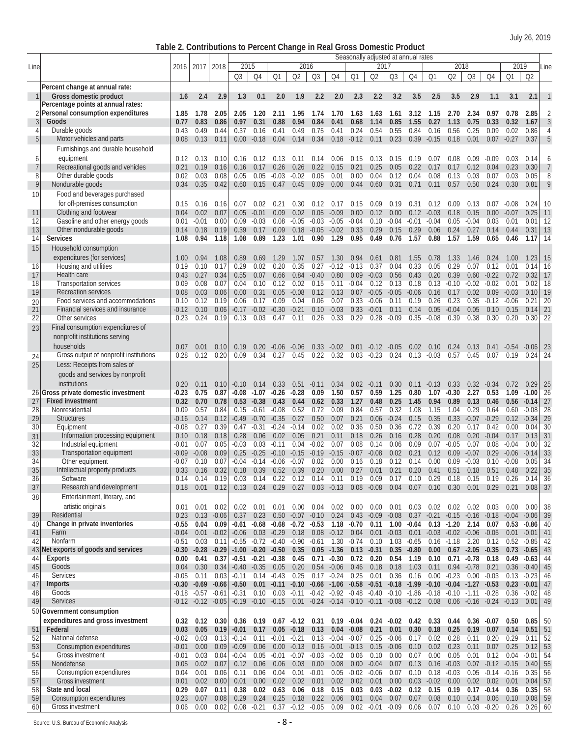**Table 2. Contributions to Percent Change in Real Gross Domestic Product**

|                |                                                                           |                    |                 |                         |                    |                                            |                    |                                                   |                       |                    |                                    |                      | Seasonally adjusted at annual rates                                                                 |                 |                             |                                        |                                    |                 |                    |                    |                |
|----------------|---------------------------------------------------------------------------|--------------------|-----------------|-------------------------|--------------------|--------------------------------------------|--------------------|---------------------------------------------------|-----------------------|--------------------|------------------------------------|----------------------|-----------------------------------------------------------------------------------------------------|-----------------|-----------------------------|----------------------------------------|------------------------------------|-----------------|--------------------|--------------------|----------------|
| Line           |                                                                           | 2016               | 2017            | 2018                    | 2015               |                                            |                    | 2016                                              |                       |                    |                                    | 2017                 |                                                                                                     |                 |                             | 2018                                   |                                    |                 | 2019               |                    | Line           |
|                |                                                                           |                    |                 |                         | Q <sub>3</sub>     | Q4                                         | Q1                 | Q2                                                | Q3                    | Q4                 | Q1                                 | Q2                   | Q3                                                                                                  | Q4              | Q1                          | Q <sub>2</sub>                         | Q3                                 | Q4              | Q1                 | Q <sub>2</sub>     |                |
|                | Percent change at annual rate:                                            |                    |                 |                         |                    |                                            |                    |                                                   |                       |                    |                                    |                      |                                                                                                     |                 |                             |                                        |                                    |                 |                    |                    |                |
|                | Gross domestic product                                                    | 1.6                | 2.4             | 2.9                     | 1.3                | 0.1                                        | 2.0                | 1.9                                               | 2.2                   | 2.0                | 2.3                                | 2.2                  | 3.2                                                                                                 | 3.5             | 2.5                         | 3.5                                    | 2.9                                | 1.1             | 3.1                | 2.1                | $\mathbf{1}$   |
|                | Percentage points at annual rates:<br>2 Personal consumption expenditures | 1.85               | 1.78            | 2.05                    | 2.05               | 1.20                                       | 2.11               | 1.95                                              | 1.74                  | 1.70               | 1.63                               | 1.63                 | 1.61                                                                                                | 3.12            | 1.15                        | 2.70                                   | 2.34                               | 0.97            | 0.78               | 2.85               | 2              |
| 3              | Goods                                                                     | 0.77               | 0.83            | 0.86                    | 0.97               | 0.31                                       | 0.88               | 0.94                                              | 0.84                  | 0.41               | 0.68                               | 1.14                 | 0.85                                                                                                | 1.55            | 0.27                        | 1.13                                   | 0.75                               | 0.33            | 0.32               | 1.67               | 3              |
| 4              | Durable goods                                                             | 0.43               | 0.49            | 0.44                    | 0.37               | 0.16                                       | 0.41               | 0.49                                              | 0.75                  | 0.41               | 0.24                               | 0.54                 | 0.55                                                                                                | 0.84            | 0.16                        | 0.56                                   | 0.25                               | 0.09            | 0.02               | 0.86               | $\overline{4}$ |
| 5              | Motor vehicles and parts                                                  | 0.08               | 0.13            | 0.11                    | 0.00               | $-0.18$                                    | 0.04               | 0.14                                              | 0.34                  | 0.18               | $-0.12$                            | 0.11                 | 0.23                                                                                                | 0.39            | $-0.15$                     | 0.18                                   | 0.01                               | 0.07            | $-0.27$            | 0.37               | 5              |
|                | Furnishings and durable household                                         |                    |                 |                         |                    |                                            |                    |                                                   |                       |                    |                                    |                      |                                                                                                     |                 |                             |                                        |                                    |                 |                    |                    |                |
| 6              | equipment                                                                 | 0.12               | 0.13            | 0.10                    | 0.16               | 0.12                                       | 0.13               | 0.11                                              | 0.14                  | 0.06               | 0.15                               | 0.13                 | 0.15                                                                                                | 0.19            | 0.07                        | 0.08                                   | 0.09                               | $-0.09$         | 0.03               | 0.14               | 6              |
| $\overline{7}$ | Recreational goods and vehicles                                           | 0.21               | 0.19            | 0.16                    | 0.16               | 0.17                                       | 0.26               | 0.26                                              | 0.22                  | 0.15               | 0.21                               | 0.25                 | 0.05                                                                                                | 0.22            | 0.17                        | 0.17                                   | 0.12                               | 0.04            | 0.23               | 0.30               | $\overline{7}$ |
| 8              | Other durable goods                                                       | 0.02               | 0.03            | 0.08                    | 0.05               | 0.05                                       | $-0.03$            | $-0.02$                                           | 0.05                  | 0.01               | 0.00                               | 0.04                 | 0.12                                                                                                | 0.04            | 0.08                        | 0.13                                   | 0.03                               | 0.07            | 0.03               | 0.05               | 8              |
| 9              | Nondurable goods                                                          | 0.34               | 0.35            | 0.42                    | 0.60               | 0.15                                       | 0.47               | 0.45                                              | 0.09                  | 0.00               | 0.44                               | 0.60                 | 0.31                                                                                                | 0.71            | 0.11                        | 0.57                                   | 0.50                               | 0.24            | 0.30               | 0.81               | 9              |
| 10             | Food and beverages purchased                                              |                    |                 |                         |                    |                                            |                    |                                                   |                       |                    |                                    |                      |                                                                                                     |                 |                             |                                        |                                    |                 |                    |                    |                |
|                | for off-premises consumption                                              | 0.15               | 0.16            | 0.16                    | 0.07               | 0.02                                       | 0.21               | 0.30                                              | 0.12                  | 0.17               | 0.15                               | 0.09                 | 0.19                                                                                                | 0.31            | 0.12                        | 0.09                                   | 0.13                               | 0.07            | $-0.08$            | 0.24               | 10             |
| 11<br>12       | Clothing and footwear<br>Gasoline and other energy goods                  | 0.04<br>0.01       | 0.02<br>$-0.01$ | 0.07<br>0.00            | 0.05<br>0.09       | $-0.01$<br>$-0.03$                         | 0.09<br>0.08       | 0.02<br>$-0.05$                                   | 0.05<br>$-0.03$       | $-0.09$<br>$-0.05$ | 0.00<br>$-0.04$                    | 0.12<br>0.10         | 0.00<br>$-0.04$                                                                                     | 0.12<br>$-0.01$ | $-0.03$<br>$-0.04$          | 0.18<br>0.05                           | 0.15<br>$-0.04$                    | 0.00<br>0.03    | $-0.07$<br>0.01    | 0.25<br>0.01       | 11<br>12       |
| 13             | Other nondurable goods                                                    | 0.14               | 0.18            | 0.19                    | 0.39               | 0.17                                       | 0.09               | 0.18                                              | $-0.05$               | $-0.02$            | 0.33                               | 0.29                 | 0.15                                                                                                | 0.29            | 0.06                        | 0.24                                   | 0.27                               | 0.14            | 0.44               | 0.31               | 13             |
| 14             | <b>Services</b>                                                           | 1.08               | 0.94            | 1.18                    | 1.08               | 0.89                                       | 1.23               | 1.01                                              | 0.90                  | 1.29               | 0.95                               | 0.49                 | 0.76                                                                                                | 1.57            | 0.88                        | 1.57                                   | 1.59                               | 0.65            | 0.46               | 1.17               | 14             |
| 15             | Household consumption                                                     |                    |                 |                         |                    |                                            |                    |                                                   |                       |                    |                                    |                      |                                                                                                     |                 |                             |                                        |                                    |                 |                    |                    |                |
|                | expenditures (for services)                                               | 1.00               | 0.94            | 1.08                    | 0.89               | 0.69                                       | 1.29               | 1.07                                              | 0.57                  | 1.30               | 0.94                               | 0.61                 | 0.81                                                                                                | 1.55            | 0.78                        | 1.33                                   | 1.46                               | 0.24            | 1.00               | 1.23               | 15             |
| 16             | Housing and utilities                                                     | 0.19               | 0.10            | 0.17                    | 0.29               | 0.02                                       | 0.20               | 0.35                                              | 0.27                  | $-0.12$            | $-0.13$                            | 0.37                 | 0.04                                                                                                | 0.33            | 0.05                        | 0.29                                   | 0.07                               | 0.12            | 0.01               | 0.14               | 16             |
| 17             | Health care                                                               | 0.43               | 0.27            | 0.34                    | 0.55               | 0.07                                       | 0.66               | 0.84                                              | $-0.40$               | 0.80               | 0.09                               | $-0.03$              | 0.56                                                                                                | 0.43            | 0.20                        | 0.39                                   | 0.60                               | $-0.22$         | 0.72               | 0.32               | 17             |
| 18             | <b>Transportation services</b>                                            | 0.09               | 0.08            | 0.07                    | 0.04               | 0.10                                       | 0.12               | 0.02                                              | 0.15                  | 0.11               | $-0.04$                            | 0.12                 | 0.13                                                                                                | 0.18            | 0.13                        | $-0.10$                                | $-0.02$                            | $-0.02$         | 0.01               | 0.02               | 18             |
| 19             | Recreation services<br>Food services and accommodations                   | 0.08<br>0.10       | 0.03<br>0.12    | 0.06<br>0.19            | 0.00<br>0.06       | 0.31<br>0.17                               | 0.05<br>0.09       | $-0.08$<br>0.04                                   | 0.12<br>0.06          | 0.13               | 0.07                               | $-0.05$<br>$-0.06$   | $-0.05$<br>0.11                                                                                     | $-0.06$<br>0.19 | 0.16<br>0.26                | 0.17<br>0.23                           | 0.02                               | 0.09            | $-0.03$<br>$-0.06$ | 0.10<br>0.21       | 19<br>20       |
| 20<br>21       | Financial services and insurance                                          | $-0.12$            | 0.10            | 0.06                    | $-0.17$            | $-0.02$                                    | $-0.30$            | $-0.21$                                           | 0.10                  | 0.07<br>$-0.03$    | 0.33<br>0.33                       | $-0.01$              | 0.11                                                                                                | 0.14            | 0.05                        | $-0.04$                                | 0.35<br>0.05                       | $-0.12$<br>0.10 | 0.15               | 0.14               | 21             |
| 22             | Other services                                                            | 0.23               | 0.24            | 0.19                    | 0.13               | 0.03                                       | 0.47               | 0.11                                              | 0.26                  | 0.33               | 0.29                               | 0.28                 | $-0.09$                                                                                             | 0.35            | $-0.08$                     | 0.39                                   | 0.38                               | 0.30            | 0.20               | 0.30               | 22             |
| 23             | Final consumption expenditures of                                         |                    |                 |                         |                    |                                            |                    |                                                   |                       |                    |                                    |                      |                                                                                                     |                 |                             |                                        |                                    |                 |                    |                    |                |
|                | nonprofit institutions serving                                            |                    |                 |                         |                    |                                            |                    |                                                   |                       |                    |                                    |                      |                                                                                                     |                 |                             |                                        |                                    |                 |                    |                    |                |
|                | households                                                                | 0.07               | 0.01            | 0.10                    | 0.19               | 0.20                                       | $-0.06$            | $-0.06$                                           | 0.33                  | $-0.02$            | 0.01                               | $-0.12$              | -0.05                                                                                               | 0.02            | 0.10                        | 0.24                                   | 0.13                               | 0.41            | $-0.54$            | -0.06              | 23             |
| 24             | Gross output of nonprofit institutions                                    | 0.28               | 0.12            | 0.20                    | 0.09               | 0.34                                       | 0.27               | 0.45                                              | 0.22                  | 0.32               | 0.03                               | $-0.23$              | 0.24                                                                                                | 0.13            | $-0.03$                     | 0.57                                   | 0.45                               | 0.07            | 0.19               | 0.24               | 24             |
| 25             | Less: Receipts from sales of                                              |                    |                 |                         |                    |                                            |                    |                                                   |                       |                    |                                    |                      |                                                                                                     |                 |                             |                                        |                                    |                 |                    |                    |                |
|                | goods and services by nonprofit                                           |                    |                 |                         |                    |                                            |                    |                                                   |                       |                    |                                    |                      |                                                                                                     |                 |                             |                                        |                                    |                 |                    |                    |                |
|                | institutions                                                              | 0.20               | 0.11            | 0.10                    | $-0.10$            | 0.14                                       | 0.33               | 0.51                                              | $-0.11$               | 0.34               | 0.02                               | $-0.11$              | 0.30                                                                                                | 0.11            | $-0.13$                     | 0.33                                   | 0.32                               | $-0.34$         | 0.72               | 0.29               | 25             |
|                | 26 Gross private domestic investment                                      | $-0.23$            | 0.75            | 0.87                    | $-0.08$            | $-1.07$                                    | $-0.26$            | $-0.28$                                           | 0.09                  | 1.50               | 0.57                               | 0.59                 | 1.25                                                                                                | 0.80            | 1.07                        | $-0.30$                                | 2.27                               | 0.53            | 1.09               | $-1.00$            | 26             |
| 27             | <b>Fixed investment</b><br>Nonresidential                                 | 0.32               | 0.70            | 0.78                    | 0.53               | $-0.38$                                    | 0.43<br>$-0.08$    | 0.44                                              | 0.62                  | 0.33               | 1.27<br>0.84                       | 0.48                 | 0.25                                                                                                | 1.45            | 0.94                        | 0.89                                   | 0.13                               | 0.46            | 0.56               | $-0.14$<br>$-0.08$ | 27<br>28       |
| 28<br>29       | <b>Structures</b>                                                         | 0.09<br>$-0.16$    | 0.57<br>0.14    | 0.84<br>0.12            | 0.15<br>$-0.49$    | $-0.61$<br>$-0.70$                         | $-0.35$            | 0.52<br>0.27                                      | 0.72<br>0.50          | 0.09<br>0.07       | 0.21                               | 0.57<br>0.06         | 0.32<br>$-0.24$                                                                                     | 1.08<br>0.15    | 1.15<br>0.35                | 1.04<br>$0.33 - 0.07$                  | 0.29                               | 0.64<br>$-0.29$ | 0.60<br>0.12       | $-0.34$            | 29             |
| 30             | Equipment                                                                 | $-0.08$            | 0.27            | 0.39                    | 0.47               | $-0.31$                                    | $-0.24$            | $-0.14$                                           | 0.02                  | 0.02               | 0.36                               | 0.50                 | 0.36                                                                                                | 0.72            | 0.39                        | 0.20                                   | 0.17                               | 0.42            | 0.00               | 0.04               | 30             |
| 31             | Information processing equipment                                          | 0.10               | 0.18            | 0.18                    | 0.28               | 0.06                                       | 0.02               | 0.05                                              | 0.21                  | 0.11               | 0.18                               | 0.26                 | 0.16                                                                                                | 0.28            | 0.20                        | 0.08                                   | 0.20                               | $-0.04$         | 0.17               | 0.13               | 31             |
| 32             | Industrial equipment                                                      | $-0.01$            | 0.07            | 0.05                    | $-0.03$            | 0.03                                       | $-0.11$            | 0.04                                              | $-0.02$               | 0.07               | 0.08                               | 0.14                 | 0.06                                                                                                | 0.09            | 0.07                        | $-0.05$                                | 0.07                               | 0.08            | $-0.04$            | 0.00               | 32             |
| 33             | <b>Transportation equipment</b>                                           | $-0.09$            | $-0.08$         | 0.09                    | 0.25               | $-0.25$                                    | $-0.10$            | $-0.15$                                           | $-0.19$               | $-0.15$            | $-0.07$                            | $-0.08$              | 0.02                                                                                                | 0.21            | 0.12                        | 0.09                                   | $-0.07$                            | 0.29            | $-0.06$            | $-0.14$            | 33             |
| 34             | Other equipment                                                           | $-0.07$            | 0.10            | 0.07                    | $-0.04$            | $-0.14$                                    | $-0.06$            | $-0.07$                                           | 0.02                  | 0.00               | 0.16                               | 0.18                 | 0.12                                                                                                | 0.14            | 0.00                        | 0.09                                   | $-0.03$                            | 0.10            | $-0.08$            | 0.05               | 34             |
| 35<br>36       | Intellectual property products<br>Software                                | 0.33<br>0.14       | 0.16<br>0.14    | 0.32<br>0.19            | 0.18<br>0.03       | 0.39<br>0.14                               | 0.52               | 0.39<br>$0.22$ $0.12$ $0.14$                      | 0.20                  | 0.11               | $0.00 \quad 0.27 \quad 0.01$       | $0.19$ $0.09$ $0.17$ |                                                                                                     |                 | $0.21$ $0.20$ $0.41$ $0.51$ | 0.10 0.29 0.18 0.15                    | $0.18$ 0.51                        | 0.19            | 0.48<br>0.26       | 0.22<br>0.14       | 35<br>36       |
| 37             | Research and development                                                  | 0.18               | 0.01            | 0.12                    | 0.13               | 0.24                                       | 0.29               | 0.27                                              |                       |                    | $0.03 -0.13$ $0.08 -0.08$          |                      |                                                                                                     | $0.04$ 0.07     | $0.10 \quad 0.30$           |                                        | 0.01                               | 0.29            | 0.21               | $0.08$ 37          |                |
| 38             | Entertainment, literary, and                                              |                    |                 |                         |                    |                                            |                    |                                                   |                       |                    |                                    |                      |                                                                                                     |                 |                             |                                        |                                    |                 |                    |                    |                |
|                | artistic originals                                                        | 0.01               | 0.01            | 0.02                    | 0.02               | 0.01                                       | 0.01               | 0.00                                              | 0.04                  | 0.02               |                                    |                      | $0.00$ $0.00$ $0.01$ $0.03$ $0.02$ $0.02$ $0.02$ $0.03$                                             |                 |                             |                                        |                                    |                 | $0.00\,$           | 0.00               | 38             |
| 39             | Residential                                                               | 0.23               | 0.13            | $-0.06$                 | 0.37               | 0.23                                       |                    | $0.50 -0.07 -0.10$                                |                       | 0.24               |                                    | $0.43 - 0.09 - 0.08$ |                                                                                                     |                 |                             |                                        | 0.37 -0.21 -0.15 -0.16 -0.18 -0.04 |                 |                    | $-0.06$ 39         |                |
| 40             | Change in private inventories                                             | $-0.55$            | 0.04            | 0.09                    | $-0.61$            |                                            |                    | $-0.68$ $-0.68$ $-0.72$ $-0.53$                   |                       |                    | $1.18 - 0.70$ 0.11                 |                      | $1.00 -0.64$                                                                                        |                 |                             | $0.13 - 1.20$ 2.14                     |                                    | 0.07            | 0.53               | $-0.86$            | 40             |
| 41             | Farm                                                                      | $-0.04$            |                 | $0.01 - 0.02$           | $-0.06$            |                                            | $0.03 -0.29$ 0.18  |                                                   | 0.08                  |                    | $-0.12$ $0.04$ $0.01$ $-0.03$      |                      |                                                                                                     |                 |                             |                                        | $0.01 - 0.03 - 0.02 - 0.06 - 0.05$ |                 | 0.01               | $-0.01$            | 41             |
| 42             | Nonfarm                                                                   | $-0.51$            | 0.03            | 0.11                    |                    | $-0.55$ $-0.72$ $-0.40$ $-0.90$ $-0.61$    |                    |                                                   |                       |                    | $1.30 - 0.74$                      | 0.10                 | 1.03                                                                                                | $-0.65$         |                             | $0.16 - 1.18$ 2.20                     |                                    | 0.12            | 0.52               | $-0.85$            | 42             |
| 44             | 43 Net exports of goods and services<br>Exports                           | $-0.30$<br>0.00    | 0.41            | $-0.28 - 0.29$<br>0.37  |                    | $-1.00 -0.20 -0.50$<br>$-0.51 -0.21 -0.38$ |                    | 0.35<br>0.45                                      | 0.05<br>$0.71 - 0.30$ | $-1.36$            | $0.13 - 0.31$                      | $0.72 \quad 0.20$    | 0.35<br>0.54                                                                                        | $-0.80$<br>1.19 | 0.00 <sub>1</sub>           | $0.67 - 2.05$<br>$0.10$ $0.71$ $-0.78$ |                                    | $-0.35$<br>0.18 | 0.73<br>0.49       | $-0.65$<br>$-0.63$ | 43<br>44       |
| 45             | Goods                                                                     | 0.04               | 0.30            | 0.34                    | $-0.40 -0.35$      |                                            | 0.05               | 0.20                                              | $0.54 - 0.06$         |                    | 0.46                               | 0.18                 | 0.18                                                                                                | 1.03            | 0.11                        | $0.94 - 0.78$                          |                                    | 0.21            | 0.36               | $-0.40$            | 45             |
| 46             | Services                                                                  | $-0.05$            | 0.11            | 0.03                    | $-0.11$            |                                            | $0.14 - 0.43 0.25$ |                                                   | $0.17 - 0.24$         |                    | $0.25$ 0.01                        |                      | 0.36                                                                                                | 0.16            |                             |                                        | $0.00 -0.23$ $0.00 -0.03$          |                 | $0.13 - 0.23$      |                    | 46             |
| 47             | <b>Imports</b>                                                            | $-0.30$            | $-0.69 - 0.66$  |                         | $-0.50$            |                                            |                    | $0.01 - 0.11 - 0.10 - 0.66$                       |                       |                    |                                    |                      | $-1.06$ $-0.58$ $-0.51$ $-0.18$ $-1.99$ $-0.10$ $-0.04$ $-1.27$ $-0.53$                             |                 |                             |                                        |                                    |                 |                    | $0.23 - 0.01$      | 47             |
| 48             | Goods                                                                     | -0.18              | -0.57 -0.61     |                         | $-0.31$            | 0.10                                       |                    |                                                   |                       |                    |                                    |                      | $0.03$ $-0.11$ $-0.42$ $-0.92$ $-0.48$ $-0.40$ $-0.10$ $-1.86$ $-0.18$ $-0.10$ $-1.11$ $-0.28$      |                 |                             |                                        |                                    |                 | 0.36               | $-0.02$            | 48             |
| 49             | Services                                                                  |                    |                 | $-0.12$ $-0.12$ $-0.05$ |                    | $-0.19$ $-0.10$ $-0.15$                    |                    |                                                   |                       |                    |                                    |                      | $0.01$ $-0.24$ $-0.14$ $-0.10$ $-0.11$ $-0.08$ $-0.12$ $0.08$ $0.06$ $-0.16$ $-0.24$ $-0.13$ $0.01$ |                 |                             |                                        |                                    |                 |                    |                    | 49             |
|                | 50 Government consumption                                                 |                    |                 |                         |                    |                                            |                    |                                                   |                       |                    |                                    |                      |                                                                                                     |                 |                             |                                        |                                    |                 |                    |                    |                |
|                | expenditures and gross investment                                         | 0.32               |                 | $0.12$ 0.30             | 0.36               | 0.19                                       |                    |                                                   |                       |                    |                                    |                      | $0.67 -0.12$ $0.31$ $0.19 -0.04$ $0.24 -0.02$ $0.42$                                                |                 | 0.33                        | 0.44                                   | $0.36 - 0.07$                      |                 | 0.50               | 0.85               | -50            |
| 51             | Federal                                                                   | 0.03               | 0.05            | 0.19                    | $-0.01$            | 0.17                                       | $0.05 - 0.18$      |                                                   | 0.13                  |                    | $0.04 - 0.08$                      | 0.21                 | 0.01                                                                                                | 0.30            | 0.18                        | 0.25                                   | 0.19                               | 0.07            | 0.14               | 0.51               | 51             |
| 52<br>53       | National defense<br>Consumption expenditures                              | $-0.02$<br>$-0.01$ | 0.03<br>0.00    | 0.13<br>0.09            | $-0.14$<br>$-0.09$ | 0.11<br>0.06                               | $-0.01$            | $-0.21$<br>0.00 -0.13 0.16 -0.01 -0.13 0.15 -0.06 |                       |                    | $0.13 - 0.04 - 0.07$ $0.25 - 0.06$ |                      |                                                                                                     | 0.17<br>0.10    | 0.02<br>$0.02$ 0.23         | 0.28                                   | 0.11<br>0.11                       | 0.20<br>0.07    | 0.29<br>0.25       | 0.11<br>0.12       | 52<br>53       |
| 54             | <b>Gross investment</b>                                                   | -0.01              | 0.03            | 0.04                    | $-0.04$            | 0.05                                       | -0.01              | $-0.07 - 0.03 - 0.02$                             |                       |                    | 0.06                               | 0.10                 | 0.00                                                                                                | 0.07            | 0.00                        | 0.05                                   | 0.01                               | 0.12            | 0.04               | $-0.01$            | 54             |
| 55             | Nondefense                                                                | 0.05               | 0.02            | 0.07                    | 0.12               | 0.06                                       | 0.06               | $0.03$ 0.00                                       |                       | 0.08               | $0.00 - 0.04$                      |                      | 0.07                                                                                                | 0.13            | $0.16 - 0.03$               |                                        | $0.07 -0.12 -0.15$                 |                 |                    | 0.40               | 55             |
| 56             | Consumption expenditures                                                  | 0.04               | 0.01            | 0.06                    | 0.11               | 0.06                                       | 0.04               | $0.01 - 0.01$                                     |                       | 0.05               | $-0.02 -0.06$                      |                      | 0.07                                                                                                | 0.10            | 0.18                        | $-0.03$                                | 0.05                               | $-0.14$         | $-0.16$            | 0.35               | 56             |
| 57             | <b>Gross investment</b>                                                   | 0.01               | 0.02            | 0.00                    | 0.01               | 0.00                                       | 0.02               | 0.02                                              | 0.01                  | 0.02               |                                    | $0.02$ 0.01          | 0.00                                                                                                |                 |                             |                                        | $0.03 -0.02$ $0.00$ $0.02$ $0.02$  |                 | 0.01               | 0.04               | 57             |
| 58             | State and local                                                           | 0.29               | 0.07            | 0.11                    | 0.38               | 0.02                                       | 0.63               | 0.06                                              | 0.18                  | 0.15               | 0.03                               | $0.03 - 0.02$        |                                                                                                     | 0.12            | 0.15                        |                                        | $0.19$ $0.17$ $-0.14$              |                 | 0.36               | 0.35               | 58             |
| 59             | Consumption expenditures<br>Gross investment                              | 0.23               | 0.07            | 0.08                    | 0.29               | 0.24                                       | 0.25               | 0.18                                              | 0.22                  | 0.06               |                                    | $0.01$ 0.04          | 0.07<br>0.09  0.02  -0.01  -0.09  0.06  0.07  0.10  0.03  -0.20                                     | 0.07            | 0.08                        |                                        | $0.10$ 0.14                        | 0.06            | 0.10               | $0.08$ 59          |                |
| 60             |                                                                           | 0.06               | 0.00            | 0.02                    |                    | $0.08 - 0.21$                              |                    | $0.37 -0.12 -0.05$                                |                       |                    |                                    |                      |                                                                                                     |                 |                             |                                        |                                    |                 | 0.26               | $0.26$ 60          |                |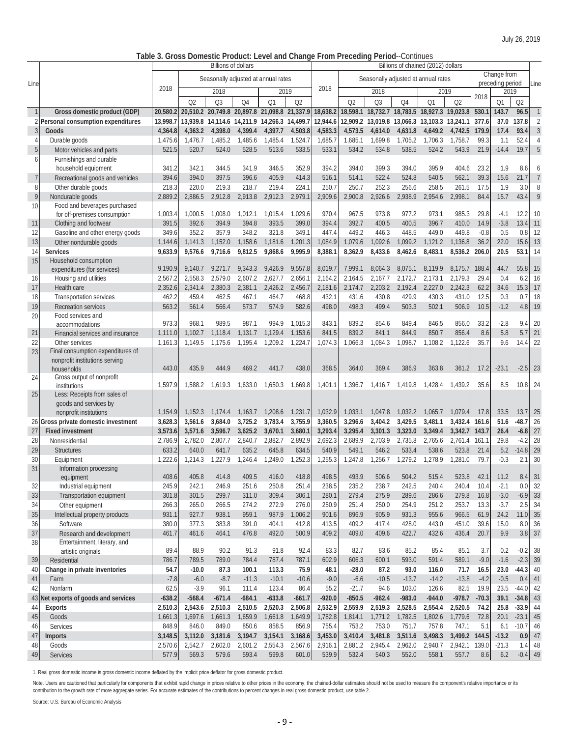# **Table 3. Gross Domestic Product: Level and Change From Preceding Period**--Continues

|                |                                                 |          |                | <b>Billions of dollars</b> |          |                                              |          |                    |          |                                              |          | Billions of chained (2012) dollars |                |         |                          |                |                |
|----------------|-------------------------------------------------|----------|----------------|----------------------------|----------|----------------------------------------------|----------|--------------------|----------|----------------------------------------------|----------|------------------------------------|----------------|---------|--------------------------|----------------|----------------|
|                |                                                 |          |                |                            |          | Seasonally adjusted at annual rates          |          |                    |          | Seasonally adjusted at annual rates          |          |                                    |                |         | Change from              |                |                |
| Line           |                                                 | 2018     |                | 2018                       |          | 2019                                         |          | 2018               |          | 2018                                         |          | 2019                               |                |         | preceding period<br>2019 |                | Line           |
|                |                                                 |          |                |                            |          |                                              |          |                    |          |                                              |          |                                    |                | 2018    |                          |                |                |
|                |                                                 |          | O <sub>2</sub> | Q <sub>3</sub>             | Q4       | Q1                                           | Q2       |                    | Q2       | Q <sub>3</sub>                               | Q4       | Q1                                 | Q <sub>2</sub> |         | Q1                       | Q <sub>2</sub> |                |
| $\mathbf{1}$   | Gross domestic product (GDP)                    | 20,580.2 |                |                            |          | 20.510.2 20.749.8 20.897.8 21.098.8 21.337.9 |          | 18,638.2           |          | 18,598.1 18,732.7 18,783.5 18,927.3 19,023.8 |          |                                    |                | 530.1   | 143.7                    | 96.5           | $\mathbf{1}$   |
|                | Personal consumption expenditures               | 13.998.7 | 13,939.8       |                            |          | 14,114.6 14,211.9 14,266.3 14,499.7          |          | 12,944.6           |          | 12,909.2 13,019.8                            |          | 13,066.3 13,103.3 13,241.1         |                | 377.6   | 37.0                     | 137.8          | $\overline{2}$ |
| 3              | Goods                                           | 4,364.8  | 4,363.2        | 4,398.0                    | 4,399.4  | 4,397.7                                      | 4,503.8  | 4,583.3            | 4,573.5  | 4,614.0                                      | 4,631.8  | 4,649.2                            | 4,742.5        | 179.9   | 17.4                     | 93.4           | $\mathfrak{Z}$ |
| 4              | Durable goods                                   | 1,475.6  | 1,476.7        | 1,485.2                    | 1,485.6  | 1,485.4                                      | 1,524.7  | 1,685.7            | 1,685.1  | 1,699.8                                      | 1,705.2  | 1,706.3                            | 1,758.7        | 99.3    | 1.1                      | 52.4           | $\overline{4}$ |
| 5              | Motor vehicles and parts                        | 521.5    | 520.7          | 524.0                      | 528.5    | 513.6                                        | 533.5    | 533.1              | 534.2    | 534.8                                        | 538.5    | 524.2                              | 543.9          | 21.9    | $-14.4$                  | 19.7           | 5              |
| 6              | Furnishings and durable                         |          |                |                            |          |                                              |          |                    |          |                                              |          |                                    |                |         |                          |                |                |
|                | household equipment                             | 341.2    | 342.1          | 344.5                      | 341.9    | 346.5                                        | 352.9    | 394.2              | 394.0    | 399.3                                        | 394.0    | 395.9                              | 404.6          | 23.2    | 1.9                      | 8.6            | 6              |
| $\overline{7}$ | Recreational goods and vehicles                 | 394.6    | 394.0          | 397.5                      | 396.6    | 405.9                                        | 414.3    | 516.1              | 514.1    | 522.4                                        | 524.8    | 540.5                              | 562.1          | 39.3    | 15.6                     | 21.7           | $\overline{7}$ |
| 8              | Other durable goods                             | 218.3    | 220.0          | 219.3                      | 218.7    | 219.4                                        | 224.1    | 250.7              | 250.7    | 252.3                                        | 256.6    | 258.5                              | 261.5          | 17.5    | 1.9                      | 3.0            | 8              |
| 9              | Nondurable goods                                | 2,889.2  | 2,886.5        | 2,912.8                    | 2,913.8  | 2,912.3                                      | 2,979.1  | 2,909.6            | 2,900.8  | 2,926.6                                      | 2,938.9  | 2,954.6                            | 2,998.1        | 84.4    | 15.7                     | 43.4           | 9              |
| 10             | Food and beverages purchased                    |          |                |                            |          |                                              |          |                    |          |                                              |          |                                    |                |         |                          |                |                |
|                | for off-premises consumption                    | 1,003.4  | 1,000.5        | 1,008.0                    | 1,012.1  | 1,015.4                                      | 1,029.6  | 970.4              | 967.5    | 973.8                                        | 977.2    | 973.1                              | 985.3          | 29.8    | $-4.1$                   | 12.2           | 10             |
| 11             | Clothing and footwear                           | 391.5    | 392.6          | 394.9                      | 394.8    | 393.5                                        | 399.0    | 394.4              | 392.7    | 400.5                                        | 400.5    | 396.7                              | 410.0          | 14.9    | $-3.8$                   | 13.4           | 11             |
| 12             | Gasoline and other energy goods                 | 349.6    | 352.2          | 357.9                      | 348.2    | 321.8                                        | 349.1    | 447.4              | 449.2    | 446.3                                        | 448.5    | 449.0                              | 449.8          | $-0.8$  | 0.5                      | 0.8            | 12             |
| 13             | Other nondurable goods                          | 1,144.6  | 1,141.3        | 1,152.0                    | 1,158.6  | 1,181.6                                      | 1,201.3  | 1,084.9            | 1,079.6  | 1,092.6                                      | 1,099.2  | 1,121.2                            | 1,136.8        | 36.2    | 22.0                     | 15.6           | 13             |
| 14             | <b>Services</b>                                 | 9,633.9  | 9,576.6        | 9,716.6                    | 9,812.5  | 9,868.6                                      | 9,995.9  | 8,388.1            | 8,362.9  | 8,433.6                                      | 8,462.6  | 8,483.1                            | 8,536.2        | 206.0   | 20.5                     | 53.1 14        |                |
| 15             | Household consumption                           |          |                |                            |          |                                              |          |                    |          |                                              |          |                                    |                |         |                          |                |                |
|                | expenditures (for services)                     | 9,190.9  | 9,140.7        | 9,271.7                    | 9,343.3  | 9,426.9                                      | 9,557.8  | 8,019.7            | 7,999.1  | 8,064.3                                      | 8,075.1  | 8,119.9                            | 8,175.7        | 188.4   | 44.7                     | 55.8           | 15             |
| 16             | Housing and utilities                           | 2,567.2  | 2,558.3        | 2,579.0                    | 2.607.2  | 2,627.7                                      | 2,656.1  | 2,164.2            | 2.164.5  | 2,167.7                                      | 2,172.7  | 2,173.1                            | 2,179.3        | 29.4    | 0.4                      | 6.2            | 16             |
| 17             | Health care                                     | 2,352.6  | 2.341.4        | 2,380.3                    | 2,381.1  | 2,426.2                                      | 2,456.7  | 2,181.6            | 2.174.7  | 2,203.2                                      | 2.192.4  | 2,227.0                            | 2,242.3        | 62.2    | 34.6                     | 15.3           | 17             |
| 18             | Transportation services                         | 462.2    | 459.4          | 462.5                      | 467.1    | 464.7                                        | 468.8    | 432.1              | 431.6    | 430.8                                        | 429.9    | 430.3                              | 431.0          | 12.5    | 0.3                      | 0.7            | 18             |
| 19             | <b>Recreation services</b>                      | 563.2    | 561.4          | 566.4                      | 573.7    | 574.9                                        | 582.6    | 498.0              | 498.3    | 499.4                                        | 503.3    | 502.1                              | 506.9          | 10.5    | $-1.2$                   | 4.8            | 19             |
| 20             | Food services and                               |          |                |                            |          |                                              |          |                    |          |                                              |          |                                    |                |         |                          |                |                |
|                | accommodations                                  | 973.3    | 968.1          | 989.5                      | 987.1    | 994.9                                        | 1,015.3  | 843.1              | 839.2    | 854.6                                        | 849.4    | 846.5                              | 856.0          | 33.2    | $-2.8$                   | 9.4            | 20             |
| 21             | Financial services and insurance                | 1,111.0  | 1,102.7        | 1,118.4                    | 1,131.7  | 1,129.4                                      | 1,153.6  | 841.5              | 839.2    | 841.1                                        | 844.9    | 850.7                              | 856.4          | 8.6     | 5.8                      | 5.7            | 21             |
| 22             | Other services                                  | 1,161.3  | 1,149.5        | 1,175.6                    | 1,195.4  | 1,209.2                                      | 1.224.7  | 1,074.3            | 1,066.3  | 1,084.3                                      | 1,098.7  | 1,108.2                            | 1,122.6        | 35.7    | 9.6                      | 14.4           | 22             |
| 23             | Final consumption expenditures of               |          |                |                            |          |                                              |          |                    |          |                                              |          |                                    |                |         |                          |                |                |
|                | nonprofit institutions serving                  |          |                |                            |          |                                              |          |                    |          |                                              |          |                                    |                |         |                          |                |                |
|                | households                                      | 443.0    | 435.9          | 444.9                      | 469.2    | 441.7                                        | 438.0    | 368.5              | 364.0    | 369.4                                        | 386.9    | 363.8                              | 361.2          | 17.2    | $-23.1$                  | $-2.5$         | 23             |
| 24             | Gross output of nonprofit                       | 1,597.9  | 1,588.2        | 1,619.3                    | 1,633.0  | 1,650.3                                      | 1,669.8  | 1,401.1            | 1,396.7  | 1,416.7                                      | 1,419.8  | 1,428.4                            | 1.439.2        | 35.6    | 8.5                      | 10.8           | 24             |
| 25             | institutions                                    |          |                |                            |          |                                              |          |                    |          |                                              |          |                                    |                |         |                          |                |                |
|                | Less: Receipts from sales of                    |          |                |                            |          |                                              |          |                    |          |                                              |          |                                    |                |         |                          |                |                |
|                | goods and services by<br>nonprofit institutions | 1,154.9  | 1.152.3        | 1,174.4                    | 1,163.7  | 1,208.6                                      | 1,231.7  | 1,032.9            | 1,033.1  | 1,047.8                                      | 1,032.2  | 1,065.7                            | 1,079.4        | 17.8    | 33.5                     | 13.7           | 25             |
|                |                                                 | 3,628.3  | 3,561.6        | 3,684.0                    | 3,725.2  | 3,783.4                                      | 3,755.9  | 3,360.5            | 3,296.6  | 3,404.2                                      | 3,429.5  | 3,481.1                            | 3,432.4        | 161.6   | 51.6                     | $-48.7$        | 26             |
|                | 26 Gross private domestic investment            |          |                |                            |          |                                              |          |                    | 3.295.4  |                                              |          |                                    |                |         |                          |                | 27             |
| 27             | <b>Fixed investment</b>                         | 3,573.6  | 3,571.6        | 3,596.7                    | 3,625.2  | 3,670.1                                      | 3,680.1  | 3,293.4<br>2,692.3 |          | 3,301.3                                      | 3,323.0  | 3,349.4                            | 3,342.7        | 143.7   | 26.4                     | $-6.8$         |                |
| 28             | Nonresidential                                  | 2,786.9  | 2,782.0        | 2,807.7                    | 2,840.7  | 2,882.7                                      | 2,892.9  |                    | 2,689.9  | 2,703.9                                      | 2,735.8  | 2,765.6                            | 2,761.4        | 161.1   | 29.8                     | $-4.2$         | 28<br>29       |
| 29             | <b>Structures</b>                               | 633.2    | 640.0          | 641.7                      | 635.2    | 645.8                                        | 634.5    | 540.9              | 549.1    | 546.2                                        | 533.4    | 538.6                              | 523.8          | 21.4    | 5.2                      | $-14.8$        |                |
| 30             | Equipment                                       | 1,222.6  | 1,214.3        | 1,227.9                    | 1,246.4  | 1,249.0                                      | 1,252.3  | 1,255.3            | 1,247.8  | 1,256.7                                      | 1,279.2  | 1,278.9                            | 1,281.0        | 79.7    | $-0.3$                   | 2.1            | 30             |
| 31             | Information processing                          | 408.6    | 405.8          | 414.8                      | 409.5    | 416.0                                        | 418.8    | 498.5              | 493.9    | 506.6                                        | 504.2    | 515.4                              | 523.8          | 42.1    | 11.2                     | 8.4            | 31             |
| 32             | equipment<br>Industrial equipment               | 245.9    | 242.1          | 246.9                      | 251.6    | 250.8                                        | 251.4    | 238.5              | 235.2    | 238.7                                        | 242.5    | 240.4                              | 240.4          | 10.4    | $-2.1$                   | 0.0            | 32             |
| 33             | Transportation equipment                        | 301.8    | 301.5          | 299.7                      | 311.0    | 309.4                                        | 306.1    | 280.1              | 279.4    | 275.9                                        | 289.6    | 286.6                              | 279.8          | 16.8    | $-3.0$                   |                | $-6.9$ 33      |
|                |                                                 | 266.3    |                |                            |          | 272.9                                        | 276.0    | 250.9              | 251.4    | 250.0                                        | 254.9    |                                    |                | 13.3    | $-3.7$                   | 2.5            |                |
| 34             | Other equipment                                 |          | 265.0          | 266.5                      | 274.2    |                                              |          |                    |          |                                              |          | 251.2                              | 253.7          |         |                          |                | 34             |
| 35             | Intellectual property products                  | 931.1    | 927.7          | 938.1                      | 959.1    | 987.9                                        | 1,006.2  | 901.6              | 896.9    | 905.9                                        | 931.3    | 955.6                              | 966.5          | 61.9    | 24.2                     | 11.0           | 35             |
| 36             | Software                                        | 380.0    | 377.3          | 383.8                      | 391.0    | 404.1                                        | 412.8    | 413.5              | 409.2    | 417.4                                        | 428.0    | 443.0                              | 451.0          | 39.6    | 15.0                     |                | 8.0 36         |
| 37             | Research and development                        | 461.7    | 461.6          | 464.1                      | 476.8    | 492.0                                        | 500.9    | 409.2              | 409.0    | 409.6                                        | 422.7    | 432.6                              | 436.4          | 20.7    | 9.9                      |                | $3.8$ 37       |
| 38             | Entertainment, literary, and                    | 89.4     | 88.9           | 90.2                       | 91.3     | 91.8                                         | 92.4     | 83.3               | 82.7     | 83.6                                         | 85.2     | 85.4                               | 85.1           | 3.7     | 0.2                      | $-0.2$         | 38             |
| 39             | artistic originals<br>Residential               | 786.7    | 789.5          | 789.0                      | 784.4    | 787.4                                        | 787.1    | 602.9              | 606.3    | 600.1                                        | 593.0    | 591.4                              | 589.1          | $-9.0$  | $-1.6$                   |                | $-2.3$ 39      |
|                |                                                 |          |                |                            |          |                                              |          |                    |          |                                              |          |                                    |                |         |                          |                |                |
| 40             | Change in private inventories                   | 54.7     | $-10.0$        | 87.3                       | 100.1    | 113.3                                        | 75.9     | 48.1               | $-28.0$  | 87.2                                         | 93.0     | 116.0                              | 71.7           | 16.5    | 23.0                     | $-44.3$ 40     |                |
| 41             | Farm                                            | $-7.8$   | $-6.0$         | $-8.7$                     | $-11.3$  | $-10.1$                                      | $-10.6$  | $-9.0$             | $-6.6$   | $-10.5$                                      | $-13.7$  | $-14.2$                            | $-13.8$        | $-4.2$  | $-0.5$                   |                | $0.4$ 41       |
| 42             | Nonfarm                                         | 62.5     | $-3.9$         | 96.1                       | 111.4    | 123.4                                        | 86.4     | 55.2               | $-21.7$  | 94.6                                         | 103.0    | 126.6                              | 82.5           | 19.9    | 23.5                     | $-44.0$ 42     |                |
|                | 43 Net exports of goods and services            | $-638.2$ | $-568.4$       | $-671.4$                   | $-684.1$ | $-633.8$                                     | $-661.7$ | $-920.0$           | $-850.5$ | $-962.4$                                     | $-983.0$ | $-944.0$                           | $-978.7$       | $-70.3$ | 39.1                     | $-34.8$ 43     |                |
| 44             | <b>Exports</b>                                  | 2,510.3  | 2,543.6        | 2,510.3                    | 2,510.5  | 2,520.3                                      | 2,506.8  | 2,532.9            | 2,559.9  | 2,519.3                                      | 2,528.5  | 2,554.4                            | 2,520.5        | 74.2    | 25.8                     | $-33.9$ 44     |                |
| 45             | Goods                                           | 1,661.3  | 1,697.6        | 1,661.3                    | 1,659.9  | 1,661.8                                      | 1,649.9  | 1,782.8            | 1,814.1  | 1,771.2                                      | 1,782.5  | 1,802.6                            | 1,779.6        | 72.8    | 20.1                     | $-23.1$        | 45             |
| 46             | Services                                        | 848.9    | 846.0          | 849.0                      | 850.6    | 858.5                                        | 856.9    | 755.4              | 753.2    | 753.0                                        | 751.7    | 757.8                              | 747.1          | 5.1     | 6.1                      | $-10.7$        | 46             |
| 47             | Imports                                         | 3,148.5  | 3,112.0        | 3,181.6                    | 3,194.7  | 3,154.1                                      | 3,168.6  | 3,453.0            | 3,410.4  | 3,481.8                                      | 3,511.6  | 3,498.3                            | 3,499.2        | 144.5   | $-13.2$                  |                | $0.9$ 47       |
| 48             | Goods                                           | 2,570.6  | 2,542.7        | 2,602.0                    | 2,601.2  | 2,554.3                                      | 2,567.6  | 2,916.1            | 2,881.2  | 2,945.4                                      | 2,962.0  | 2,940.7                            | 2,942.1        | 139.0   | $-21.3$                  |                | $1.4$ 48       |
| 49             | Services                                        | 577.9    | 569.3          | 579.6                      | 593.4    | 599.8                                        | 601.0    | 539.9              | 532.4    | 540.3                                        | 552.0    | 558.1                              | 557.7          | 8.6     | 6.2                      |                | $-0.4$ 49      |

1. Real gross domestic income is gross domestic income deflated by the implicit price deflator for gross domestic product.

Note. Users are cautioned that particularly for components that exhibit rapid change in prices relative to other prices in the economy, the chained-dollar estimates should not be used to measure the component's relative im contribution to the growth rate of more aggregate series. For accurate estimates of the contributions to percent changes in real gross domestic product, use table 2.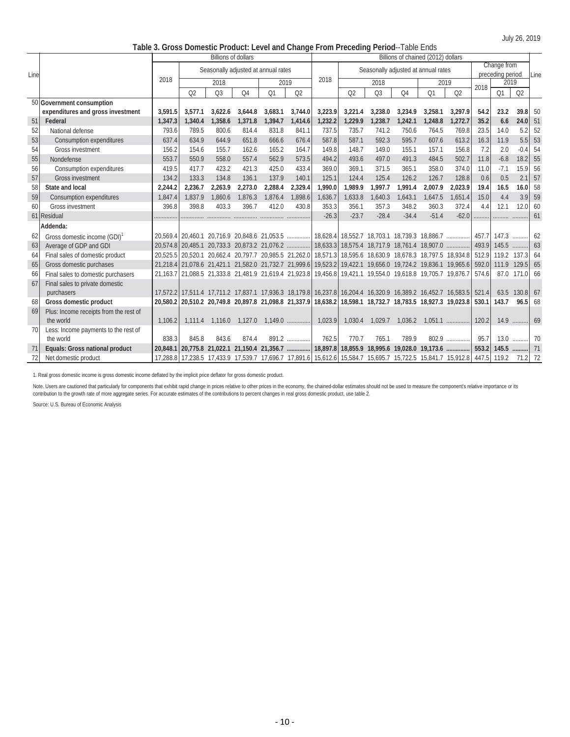July 26, 2019

| Table 3. Gross Domestic Product: Level and Change From Preceding Period--Table Ends |  |
|-------------------------------------------------------------------------------------|--|
|                                                                                     |  |

|      |                                          |         |                | <b>Billions of dollars</b>          |                |         |           |         |                                                                                                             |                |                | Billions of chained (2012) dollars  |           |       |                                 |                |      |
|------|------------------------------------------|---------|----------------|-------------------------------------|----------------|---------|-----------|---------|-------------------------------------------------------------------------------------------------------------|----------------|----------------|-------------------------------------|-----------|-------|---------------------------------|----------------|------|
| Line |                                          |         |                | Seasonally adjusted at annual rates |                |         |           |         |                                                                                                             |                |                | Seasonally adjusted at annual rates |           |       | Change from<br>preceding period |                | Line |
|      |                                          | 2018    |                | 2018                                |                | 2019    |           | 2018    |                                                                                                             | 2018           |                | 2019                                |           |       | 2019                            |                |      |
|      |                                          |         | Q <sub>2</sub> | Q <sub>3</sub>                      | O <sub>4</sub> | Q1      | Q2        |         | Q2                                                                                                          | Q <sub>3</sub> | O <sub>4</sub> | Q1                                  | Q2        | 2018  | Q1                              | Q <sub>2</sub> |      |
|      | 50 Government consumption                |         |                |                                     |                |         |           |         |                                                                                                             |                |                |                                     |           |       |                                 |                |      |
|      | expenditures and gross investment        | 3.591.5 | 3.577.1        | 3.622.6                             | 3.644.8        | 3.683.1 | 3.744.0   | 3,223.9 | 3,221.4                                                                                                     | 3.238.0        | 3.234.9        | 3.258.1                             | 3.297.9   | 54.2  | 23.2                            | 39.8 50        |      |
| 51   | Federal                                  | 1,347.3 | 1.340.4        | 1,358.6                             | 1,371.8        | 1.394.7 | 1.414.6   | 1,232.2 | 1.229.9                                                                                                     | 1.238.7        | 1,242.1        | 1.248.8                             | 1,272.7   | 35.2  | 6.6                             | $24.0$ 51      |      |
| 52   | National defense                         | 793.6   | 789.5          | 800.6                               | 814.4          | 831.8   | 841.1     | 737.5   | 735.7                                                                                                       | 741.2          | 750.6          | 764.5                               | 769.8     | 23.5  | 14.0                            | 5.2            | 52   |
| 53   | Consumption expenditures                 | 637.4   | 634.9          | 644.9                               | 651.8          | 666.6   | 676.4     | 587.8   | 587.1                                                                                                       | 592.3          | 595.7          | 607.6                               | 613.2     | 16.3  | 11.9                            | 5.5            | 53   |
| 54   | Gross investment                         | 156.2   | 154.6          | 155.7                               | 162.6          | 165.2   | 164.7     | 149.8   | 148.7                                                                                                       | 149.0          | 155.1          | 157.1                               | 156.8     | 7.2   | 2.0                             | $-0.4$         | -54  |
| 55   | Nondefense                               | 553.7   | 550.9          | 558.0                               | 557.4          | 562.9   | 573.5     | 494.2   | 493.6                                                                                                       | 497.0          | 491.3          | 484.5                               | 502.7     | 11.8  | $-6.8$                          | 18.2           | 55   |
| 56   | Consumption expenditures                 | 419.5   | 417.7          | 423.2                               | 421.3          | 425.0   | 433.4     | 369.0   | 369.1                                                                                                       | 371.5          | 365.1          | 358.0                               | 374.0     | 11.0  | $-7.1$                          | 15.9           | 56   |
| 57   | <b>Gross investment</b>                  | 134.2   | 133.3          | 134.8                               | 136.1          | 137.9   | 140.1     | 125.1   | 124.4                                                                                                       | 125.4          | 126.2          | 126.7                               | 128.8     | 0.6   | 0.5                             | 2.1            | 57   |
| 58   | State and local                          | 2,244.2 | 2,236.7        | 2,263.9                             | 2,273.0        | 2,288.4 | 2,329.4   | 1.990.0 | 1,989.9                                                                                                     | 1,997.7        | 1,991.4        | 2,007.9                             | 2.023.9   | 19.4  | 16.5                            | 16.0           | 58   |
| 59   | Consumption expenditures                 | 1.847.4 | 1.837.9        | 1.860.6                             | 1,876.3        | 1.876.4 | 1.898.6   | 1.636.7 | 1.633.8                                                                                                     | 1.640.3        | 1,643.1        | 1.647.5                             | 1.651.4   | 15.0  | 4.4                             | 3.9            | 59   |
| 60   | <b>Gross investment</b>                  | 396.8   | 398.8          | 403.3                               | 396.7          | 412.0   | 430.8     | 353.3   | 356.1                                                                                                       | 357.3          | 348.2          | 360.3                               | 372.4     | 4.4   | 12.1                            | 12.0           | 60   |
|      | 61 Residual                              |         |                |                                     |                |         |           | $-26.3$ | $-23.7$                                                                                                     | $-28.4$        | $-34.4$        | $-51.4$                             | $-62.0$   |       |                                 |                | 61   |
|      | Addenda:                                 |         |                |                                     |                |         |           |         |                                                                                                             |                |                |                                     |           |       |                                 |                |      |
| 62   | Gross domestic income (GDI) <sup>1</sup> |         |                |                                     |                |         |           |         |                                                                                                             |                |                |                                     |           | 457.7 | 147.3                           |                | 62   |
| 63   | Average of GDP and GDI                   |         |                |                                     |                |         |           |         |                                                                                                             |                |                |                                     |           | 493.9 | 145.5                           | .              | 63   |
| 64   | Final sales of domestic product          |         |                |                                     |                |         |           |         | 20,525.5 20,520.1 20,662.4 20,797.7 20,985.5 21,262.0 18,571.3 18,595.6 18,630.9 18,678.3 18,797.5 18,934.8 |                |                |                                     |           | 512.9 |                                 | 119.2 137.3 64 |      |
| 65   | Gross domestic purchases                 |         |                |                                     |                |         |           |         | 21,218.4 21,078.6 21,421.1 21,582.0 21,732.7 21,999.6 19,523.2 19,422.1 19,656.0 19,724.2 19,836.1 19,965.6 |                |                |                                     |           | 592.0 | 111.9                           | $129.5$ 65     |      |
| 66   | Final sales to domestic purchasers       |         |                |                                     |                |         |           |         | 21,163.7 21,088.5 21,333.8 21,481.9 21,619.4 21,923.8 19,456.8 19,421.1 19,554.0 19,618.8 19,705.7 19,876.7 |                |                |                                     |           | 574.6 |                                 | 87.0 171.0     | 66   |
| 67   | Final sales to private domestic          |         |                |                                     |                |         |           |         |                                                                                                             |                |                |                                     |           |       |                                 |                |      |
|      | purchasers                               |         |                |                                     |                |         |           |         | 17,572.2 17,511.4 17,711.2 17,837.1 17,936.3 18,179.8 16,237.8 16,204.4 16,320.9 16,389.2 16,452.7 16,583.5 |                |                |                                     |           | 521.4 | 63.5                            | $130.8$ 67     |      |
| 68   | Gross domestic product                   |         |                |                                     |                |         |           |         | 20,580.2 20,510.2 20,749.8 20,897.8 21,098.8 21,337.9 18,638.2 18,598.1 18,732.7 18,783.5 18,927.3 19,023.8 |                |                |                                     |           | 530.1 | 143.7                           | 96.5           | 68   |
| 69   | Plus: Income receipts from the rest of   |         |                |                                     |                |         |           |         |                                                                                                             |                |                |                                     |           |       |                                 |                |      |
|      | the world                                | 1,106.2 | 1.111.4        | 1,116.0                             | 1,127.0        |         | $1,149.0$ | 1,023.9 | 1,030.4                                                                                                     | 1,029.7        | 1,036.2        |                                     | $1,051.1$ | 120.2 |                                 | 14.9           | 69   |
| 70   | Less: Income payments to the rest of     |         |                |                                     |                |         |           |         |                                                                                                             |                |                |                                     |           |       |                                 |                |      |
|      | the world                                | 838.3   | 845.8          | 843.6                               | 874.4          |         | 891.2     | 762.5   | 770.7                                                                                                       | 765.1          | 789.9          |                                     | 802.9     | 95.7  |                                 | 13.0           | 70   |
| 71   | Equals: Gross national product           |         |                |                                     |                |         |           |         |                                                                                                             |                |                |                                     |           | 553.2 |                                 |                |      |
| 72   | Net domestic product                     |         |                |                                     |                |         |           |         | 17,288.8 17,238.5 17,433.9 17,539.7 17,696.7 17,891.6 15,612.6 15,584.7 15,695.7 15,722.5 15,841.7 15,912.8 |                |                |                                     |           | 447.5 | 119.2                           | 71.2 72        |      |

1. Real gross domestic income is gross domestic income deflated by the implicit price deflator for gross domestic product.

Note. Users are cautioned that particularly for components that exhibit rapid change in prices relative to other prices in the economy, the chained-dollar estimates should not be used to measure the component's relative im contribution to the growth rate of more aggregate series. For accurate estimates of the contributions to percent changes in real gross domestic product, use table 2.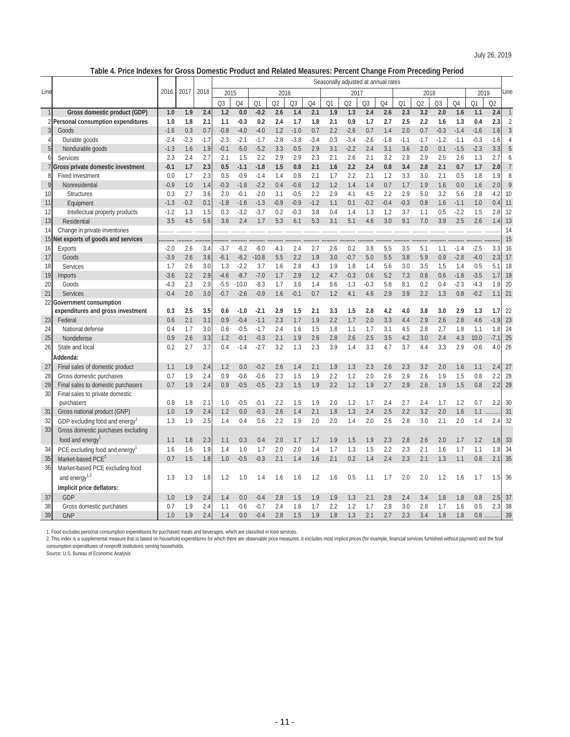**Table 4. Price Indexes for Gross Domestic Product and Related Measures: Percent Change From Preceding Period**

|                 | 4. FIILE IIIUEAES IUI                                        |        |        | Gross Domestic Froudcl and Related Measures. Fercent Change From Freceding Feriod<br>Seasonally adjusted at annual rates |                |                |                |                |        |                |     |                |                |        |                |                |                |        |        |                |                |
|-----------------|--------------------------------------------------------------|--------|--------|--------------------------------------------------------------------------------------------------------------------------|----------------|----------------|----------------|----------------|--------|----------------|-----|----------------|----------------|--------|----------------|----------------|----------------|--------|--------|----------------|----------------|
|                 |                                                              |        |        | 2018                                                                                                                     |                |                |                |                |        |                |     |                |                |        |                |                |                |        |        |                |                |
| Line            |                                                              | 2016   | 2017   |                                                                                                                          | 2015           |                |                | 2016           |        |                |     | 2017           |                |        |                | 2018           |                |        | 2019   |                | Line           |
|                 |                                                              |        |        |                                                                                                                          | Q <sub>3</sub> | O <sub>4</sub> | O <sub>1</sub> | O <sub>2</sub> | Q3     | O <sub>4</sub> | Q1  | Q <sub>2</sub> | Q <sub>3</sub> | Q4     | O <sub>1</sub> | O <sub>2</sub> | Q <sub>3</sub> | Q4     | Q1     | Q <sub>2</sub> |                |
| 1               | Gross domestic product (GDP)                                 | 1.0    | 1.9    | 2.4                                                                                                                      | 1.2            | 0.0            | $-0.2$         | 2.6            | 1.4    | 2.1            | 1.9 | 1.3            | 2.4            | 2.6    | 2.3            | 3.2            | 2.0            | 1.6    | 1.1    | 2.4            | $\mathbbm{1}$  |
|                 | 2 Personal consumption expenditures                          | 1.0    | 1.8    | 2.1                                                                                                                      | 1.1            | $-0.3$         | 0.2            | 2.4            | 1.7    | 1.8            | 2.1 | 0.9            | 1.7            | 2.7    | 2.5            | 2.2            | 1.6            | 1.3    | 0.4    | 2.3            | $\overline{2}$ |
| 3               | Goods                                                        | $-1.6$ | 0.3    | 0.7                                                                                                                      | $-0.8$         | $-4.0$         | $-4.0$         | 1.2            | $-1.0$ | 0.7            | 2.2 | $-2.6$         | 0.7            | 1.4    | 2.0            | 0.7            | $-0.3$         | $-1.4$ | $-1.6$ | 1.6            | $\mathfrak{Z}$ |
| 4               | Durable goods                                                | $-2.4$ | $-2.3$ | $-1.7$                                                                                                                   | $-2.3$         | $-2.1$         | $-1.7$         | $-2.8$         | $-3.8$ | $-3.4$         | 0.3 | $-3.4$         | $-2.6$         | $-1.8$ | $-1.1$         | $-1.7$         | $-1.2$         | $-1.1$ | $-0.3$ | $-1.6$         | $\overline{4}$ |
| 5               | Nondurable goods                                             | $-1.3$ | 1.6    | 1.9                                                                                                                      | $-0.1$         | $-5.0$         | $-5.2$         | 3.3            | 0.5    | 2.9            | 3.1 | $-2.2$         | 2.4            | 3.1    | 3.6            | 2.0            | 0.1            | $-1.5$ | $-2.3$ | 3.3            | 5              |
| $6 \mid$        | Services                                                     | 2.3    | 2.4    | 2.7                                                                                                                      | 2.1            | 1.5            | 2.2            | 2.9            | 2.9    | 2.3            | 2.1 | 2.6            | 2.1            | 3.2    | 2.8            | 2.9            | 2.5            | 2.6    | 1.3    | 2.7            | 6              |
|                 | Gross private domestic investment                            | $-0.1$ | 1.7    | 2.3                                                                                                                      | 0.5            | $-1.1$         | $-1.8$         | 1.5            | 0.8    | 2.1            | 1.6 | 2.2            | 2.4            | 0.8    | 3.4            | 2.8            | 2.1            | 0.7    | 1.7    | 2.0            | $\overline{7}$ |
| 8               | <b>Fixed investment</b>                                      | 0.0    | 1.7    | 2.3                                                                                                                      | 0.5            | $-0.9$         | $-1.4$         | 1.4            | 0.8    | 2.1            | 1.7 | 2.2            | 2.1            | 1.2    | 3.3            | 3.0            | 2.1            | 0.5    | 1.8    | 1.9            | 8              |
| $\mathsf{q}$    | Nonresidential                                               | $-0.9$ | 1.0    | 1.4                                                                                                                      | $-0.3$         | $-1.8$         | $-2.2$         | 0.4            | $-0.6$ | 1.2            | 1.2 | 1.4            | 1.4            | 0.7    | 1.7            | 1.9            | 1.6            | 0.0    | 1.6    | 2.0            | 9              |
| 10              | <b>Structures</b>                                            | 0.3    | 2.7    | 3.6                                                                                                                      | 2.0            | $-0.1$         | $-2.0$         | 3.1            | $-0.5$ | 2.2            | 2.9 | 4.1            | 4.5            | 2.2    | 2.9            | 5.0            | 3.2            | 5.6    | 2.8    | 4.2            | 10             |
| 11              | Equipment                                                    | $-1.3$ | $-0.2$ | 0.1                                                                                                                      | $-1.8$         | $-1.6$         | $-1.3$         | $-0.9$         | $-0.9$ | $-1.2$         | 1.1 | 0.1            | $-0.2$         | $-0.4$ | $-0.3$         | 0.8            | 1.6            | $-1.1$ | 1.0    | 0.4            | 11             |
| 12              | Intellectual property products                               | $-1.2$ | 1.3    | 1.5                                                                                                                      | 0.3            | $-3.2$         | $-3.7$         | 0.2            | $-0.3$ | 3.8            | 0.4 | 1.4            | 1.3            | 1.2    | 3.7            | 1.1            | 0.5            | $-2.2$ | 1.5    | 2.8            | 12             |
| 13              | Residential                                                  | 3.5    | 4.5    | 5.6                                                                                                                      | 3.6            | 2.4            | 1.7            | 5.3            | 6.1    | 5.3            | 3.1 | 5.1            | 4.6            | 3.0    | 9.1            | 7.0            | 3.9            | 2.5    | 2.6    | 1.4            | 13             |
| 14              | Change in private inventories                                |        |        |                                                                                                                          |                |                |                |                |        |                |     |                |                |        |                |                |                |        |        |                | 14             |
|                 | 15 Net exports of goods and services                         |        |        |                                                                                                                          |                |                |                |                |        |                |     |                |                |        |                |                |                |        |        |                | 15             |
| 16              | <b>Exports</b>                                               | $-2.0$ | 2.6    | 3.4                                                                                                                      | $-3.7$         | $-6.2$         | $-6.0$         | 4.1            | 2.4    | 2.7            | 2.6 | 0.2            | 3.8            | 5.5    | 3.5            | 5.1            | 1.1            | $-1.4$ | $-2.5$ | 3.3            | 16             |
| 17              | Goods                                                        | $-3.9$ | 2.6    | 3.6                                                                                                                      | $-6.1$         | $-8.2$         | $-10.8$        | 5.5            | 2.2    | 1.9            | 3.0 | $-0.7$         | 5.0            | 5.5    | 3.8            | 5.9            | 0.9            | $-2.8$ | $-4.0$ | 2.3            | 17             |
| 18              | Services                                                     | 1.7    | 2.6    | 3.0                                                                                                                      | 1.3            | $-2.2$         | 3.7            | 1.6            | 2.8    | 4.3            | 1.9 | 1.8            | 1.4            | 5.6    | 3.0            | 3.5            | 1.5            | 1.4    | 0.5    | 5.1            | 18             |
| 19              | Imports                                                      | $-3.6$ | 2.2    | 2.9                                                                                                                      | $-4.6$         | $-8.7$         | $-7.0$         | 1.7            | 2.9    | 1.2            | 4.7 | $-0.3$         | 0.6            | 5.2    | 7.3            | 0.6            | 0.6            | $-1.8$ | $-3.5$ | 1.7            | 19             |
| 20              | Goods                                                        | $-4.3$ | 2.3    | 2.9                                                                                                                      | $-5.5$         | $-10.0$        | $-8.3$         | 1.7            | 3.6    | 1.4            | 5.6 | $-1.3$         | $-0.3$         | 5.8    | 8.1            | 0.2            | 0.4            | $-2.3$ | $-4.3$ | 1.9            | 20             |
| 21              | <b>Services</b>                                              | $-0.4$ | 2.0    | 3.0                                                                                                                      | $-0.7$         | $-2.6$         | $-0.9$         | 1.6            | $-0.1$ | 0.7            | 1.2 | 4.1            | 4.6            | 2.9    | 3.9            | 2.2            | 1.3            | 0.8    | $-0.2$ | 1.1            | 21             |
|                 | 22 Government consumption                                    |        |        |                                                                                                                          |                |                |                |                |        |                |     |                |                |        |                |                |                |        |        |                |                |
|                 | expenditures and gross investment                            | 0.3    | 2.5    | 3.5                                                                                                                      | 0.6            | $-1.0$         | $-2.1$         | 2.9            | 1.5    | 2.1            | 3.3 | 1.5            | 2.8            | 4.2    | 4.0            | 3.8            | 3.0            | 2.9    | 1.3    | 1.7            | 22             |
| 23              | Federal                                                      | 0.6    | 2.1    | 3.1                                                                                                                      | 0.9            | $-0.4$         | $-1.1$         | 2.3            | 1.7    | 1.9            | 2.2 | 1.7            | 2.0            | 3.3    | 4.4            | 2.9            | 2.6            | 2.8    | 4.6    | $-1.9$         | 23             |
| 24              | National defense                                             | 0.4    | 1.7    | 3.0                                                                                                                      | 0.6            | $-0.5$         | $-1.7$         | 2.4            | 1.6    | 1.5            | 1.8 | 1.1            | 1.7            | 3.1    | 4.5            | 2.8            | 2.7            | 1.8    | 1.1    | 1.8            | 24             |
| 25              | Nondefense                                                   | 0.9    | 2.6    | 3.3                                                                                                                      | 1.2            | $-0.1$         | $-0.3$         | 2.1            | 1.9    | 2.6            | 2.8 | 2.6            | 2.5            | 3.5    | 4.2            | 3.0            | 2.4            | 4.3    | 10.0   | $-7.1$         | $25\,$         |
| 26              | State and local                                              | 0.2    | 2.7    | 3.7                                                                                                                      | 0.4            | $-1.4$         | $-2.7$         | 3.2            | 1.3    | 2.3            | 3.9 | 1.4            | 3.3            | 4.7    | 3.7            | 4.4            | 3.3            | 2.9    | $-0.6$ | 4.0            | 26             |
|                 | Addenda:                                                     |        |        |                                                                                                                          |                |                |                |                |        |                |     |                |                |        |                |                |                |        |        |                |                |
| 27              | Final sales of domestic product                              | 1.1    | 1.9    | 2.4                                                                                                                      | 1.2            | 0.0            | $-0.2$         | 2.6            | 1.4    | 2.1            | 1.9 | 1.3            | 2.3            | 2.6    | 2.3            | 3.2            | 2.0            | 1.6    | 1.1    | 2.4            | 27             |
| 28              | Gross domestic purchases                                     | 0.7    | 1.9    | 2.4                                                                                                                      | 0.9            | $-0.6$         | $-0.6$         | 2.3            | 1.5    | 1.9            | 2.2 | 1.2            | 2.0            | 2.6    | 2.9            | 2.6            | 1.9            | 1.5    | 0.8    | 2.2            | 28             |
| 29              | Final sales to domestic purchasers                           | 0.7    | 1.9    | 2.4                                                                                                                      | 0.9            | $-0.5$         | $-0.5$         | 2.3            | 1.5    | 1.9            | 2.2 | 1.2            | 1.9            | 2.7    | 2.9            | 2.6            | 1.9            | 1.5    | 0.8    | 2.2            | 29             |
| 30 <sup>°</sup> | Final sales to private domestic                              |        |        |                                                                                                                          |                |                |                |                |        |                |     |                |                |        |                |                |                |        |        |                |                |
|                 | purchasers                                                   | 0.8    | 1.8    | 2.1                                                                                                                      | 1.0            | $-0.5$         | $-0.1$         | 2.2            | 1.5    | 1.9            | 2.0 | 1.2            | 1.7            | 2.4    | 2.7            | 2.4            | 1.7            | 1.2    | 0.7    | 2.2            | 30             |
| 31              | Gross national product (GNP)                                 | 1.0    | 1.9    | 2.4                                                                                                                      | 1.2            | 0.0            | $-0.3$         | 2.6            | 1.4    | 2.1            | 1.8 | 1.3            | 2.4            | 2.5    | 2.2            | 3.2            | 2.0            | 1.6    | 1.1    |                | 31             |
| 32              | GDP excluding food and energy <sup>1</sup>                   | 1.3    | 1.9    | 2.5                                                                                                                      | 1.4            | 0.4            | 0.6            | 2.2            | 1.9    | 2.0            | 2.0 | 1.4            | 2.0            | 2.6    | 2.8            | 3.0            | 2.1            | 2.0    | 1.4    | 2.4            | 32             |
| 33              | Gross domestic purchases excluding                           |        |        |                                                                                                                          |                |                |                |                |        |                |     |                |                |        |                |                |                |        |        |                |                |
|                 | food and energy                                              | 1.1    | 1.8    | 2.3                                                                                                                      | 1.1            | 0.3            | 0.4            | 2.0            | 1.7    | 1.7            | 1.9 | 1.5            | 1.9            | 2.3    | 2.8            | 2.6            | 2.0            | 1.7    | 1.2    | 1.8            | 33             |
| 34              | PCE excluding food and energy                                | 1.6    | 1.6    | 1.9                                                                                                                      | 1.4            | 1.0            | 1.7            | 2.0            | 2.0    | 1.4            | 1.7 | 1.3            | 1.5            | 2.2    | 2.3            | 2.1            | 1.6            | 1.7    | 1.1    | 1.8            | 34             |
|                 | Market-based PCE <sup>2</sup>                                | 0.7    | 1.5    | 1.8                                                                                                                      | 1.0            | $-0.5$         | $-0.3$         | 2.1            | 1.4    | 1.6            | 2.1 | 0.2            | 1.4            | 2.4    | 2.3            | 2.1            | 1.3            | 1.1    | 0.8    | 2.1            | 35             |
| 35<br>36        |                                                              |        |        |                                                                                                                          |                |                |                |                |        |                |     |                |                |        |                |                |                |        |        |                |                |
|                 | Market-based PCE excluding food<br>and energy <sup>1,2</sup> | 1.3    | 1.3    |                                                                                                                          |                |                | 1.4            |                |        | 1.2            |     | 0.5            |                |        | 2.0            | 2.0            | 1.2            |        | 1.7    |                | 36             |
|                 |                                                              |        |        | 1.6                                                                                                                      | 1.2            | 1.0            |                | 1.6            | 1.6    |                | 1.6 |                | 1.1            | 1.7    |                |                |                | 1.6    |        | 1.5            |                |
|                 | Implicit price deflators:                                    |        |        |                                                                                                                          |                |                |                |                |        |                |     |                |                |        |                |                |                |        |        |                |                |
| 37              | GDP                                                          | 1.0    | 1.9    | 2.4                                                                                                                      | 1.4            | 0.0            | $-0.4$         | 2.8            | 1.5    | 1.9            | 1.9 | 1.3            | 2.1            | 2.8    | 2.4            | 3.4            | 1.8            | 1.8    | 0.8    | 2.5            | 37             |
| 38              | Gross domestic purchases                                     | 0.7    | 1.9    | 2.4                                                                                                                      | 1.1            | $-0.6$         | $-0.7$         | 2.4            | 1.6    | 1.7            | 2.2 | 1.2            | 1.7            | 2.8    | 3.0            | 2.8            | 1.7            | 1.6    | 0.5    | 2.3            | 38             |
| 39              | <b>GNP</b>                                                   | 1.0    | 1.9    | 2.4                                                                                                                      | 1.4            | 0.0            | $-0.4$         | 2.8            | 1.5    | 1.9            | 1.8 | 1.3            | 2.1            | 2.7    | 2.3            | 3.4            | 1.8            | 1.8    | 0.8    |                | 39             |

1. Food excludes personal consumption expenditures for purchased meals and beverages, which are classified in food services.

2. This index is a supplemental measure that is based on household expenditures for which there are observable price measures. It excludes most implicit prices (for example, financial services furnished without payment) an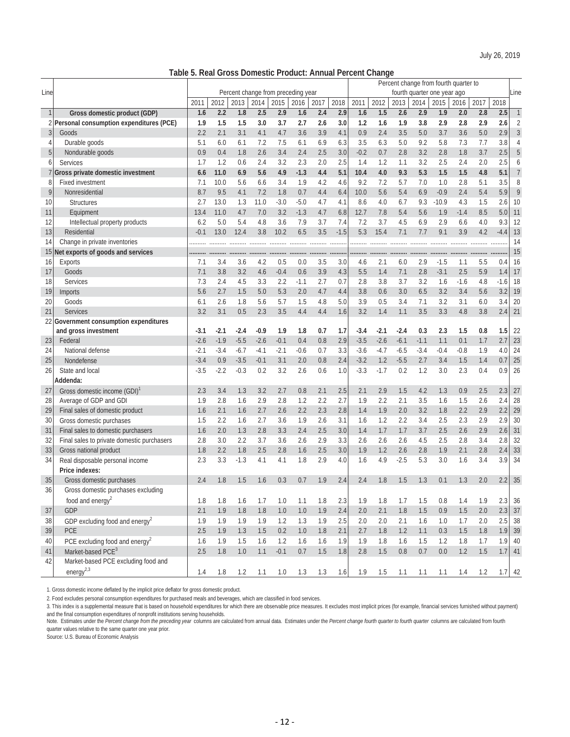| Table 5. Real Gross Domestic Product: Annual Percent Change |  |  |  |  |  |  |
|-------------------------------------------------------------|--|--|--|--|--|--|
|-------------------------------------------------------------|--|--|--|--|--|--|

|              |                                            |        |        |         |        |         |                                    |         |        |        |        |         | Percent change from fourth quarter to |         |        |         |        |                  |
|--------------|--------------------------------------------|--------|--------|---------|--------|---------|------------------------------------|---------|--------|--------|--------|---------|---------------------------------------|---------|--------|---------|--------|------------------|
| Line         |                                            |        |        |         |        |         | Percent change from preceding year |         |        |        |        |         | fourth quarter one year ago           |         |        |         |        | Line             |
|              |                                            | 2011   | 2012   | 2013    | 2014   | 2015    | 2016                               | 2017    | 2018   | 2011   | 2012   | 2013    | 2014                                  | 2015    | 2016   | 2017    | 2018   |                  |
| $\mathbf{1}$ | Gross domestic product (GDP)               | 1.6    | 2.2    | 1.8     | 2.5    | 2.9     | 1.6                                | 2.4     | 2.9    | 1.6    | 1.5    | 2.6     | 2.9                                   | 1.9     | 2.0    | 2.8     | 2.5    | $\mathbf{1}$     |
| 21           | Personal consumption expenditures (PCE)    | 1.9    | 1.5    | 1.5     | 3.0    | 3.7     | 2.7                                | 2.6     | 3.0    | 1.2    | 1.6    | 1.9     | 3.8                                   | 2.9     | 2.8    | 2.9     | 2.6    | $\overline{2}$   |
| 3            | Goods                                      | 2.2    | 2.1    | 3.1     | 4.1    | 4.7     | 3.6                                | 3.9     | 4.1    | 0.9    | 2.4    | 3.5     | 5.0                                   | 3.7     | 3.6    | 5.0     | 2.9    | 3                |
| 4            | Durable goods                              | 5.1    | 6.0    | 6.1     | 7.2    | 7.5     | 6.1                                | 6.9     | 6.3    | 3.5    | 6.3    | 5.0     | 9.2                                   | 5.8     | 7.3    | 7.7     | 3.8    | $\overline{4}$   |
| 5            | Nondurable goods                           | 0.9    | 0.4    | 1.8     | 2.6    | 3.4     | 2.4                                | 2.5     | 3.0    | $-0.2$ | 0.7    | 2.8     | 3.2                                   | 2.8     | 1.8    | 3.7     | 2.5    | 5                |
| 6            | <b>Services</b>                            | 1.7    | 1.2    | 0.6     | 2.4    | 3.2     | 2.3                                | 2.0     | 2.5    | 1.4    | 1.2    | 1.1     | 3.2                                   | 2.5     | 2.4    | 2.0     | 2.5    | 6                |
|              | Gross private domestic investment          | 6.6    | 11.0   | 6.9     | 5.6    | 4.9     | $-1.3$                             | 4.4     | 5.1    | 10.4   | 4.0    | 9.3     | 5.3                                   | 1.5     | 1.5    | 4.8     | 5.1    | $\overline{7}$   |
| 8            | <b>Fixed investment</b>                    | 7.1    | 10.0   | 5.6     | 6.6    | 3.4     | 1.9                                | 4.2     | 4.6    | 9.2    | 7.2    | 5.7     | 7.0                                   | 1.0     | 2.8    | 5.1     | 3.5    | 8                |
| 9            | Nonresidential                             | 8.7    | 9.5    | 4.1     | 7.2    | 1.8     | 0.7                                | 4.4     | 6.4    | 10.0   | 5.6    | 5.4     | 6.9                                   | $-0.9$  | 2.4    | 5.4     | 5.9    | 9                |
| 10           | <b>Structures</b>                          | 2.7    | 13.0   | 1.3     | 11.0   | $-3.0$  | $-5.0$                             | 4.7     | 4.1    | 8.6    | 4.0    | 6.7     | 9.3                                   | $-10.9$ | 4.3    | 1.5     | 2.6    | 10               |
| 11           | Equipment                                  | 13.4   | 11.0   | 4.7     | 7.0    | 3.2     | $-1.3$                             | 4.7     | 6.8    | 12.7   | 7.8    | 5.4     | 5.6                                   | 1.9     | $-1.4$ | 8.5     | 5.0    | 11               |
| 12           | Intellectual property products             | 6.2    | 5.0    | 5.4     | 4.8    | 3.6     | 7.9                                | 3.7     | 7.4    | 7.2    | 3.7    | 4.5     | 6.9                                   | 2.9     | 6.6    | 4.0     | 9.3    | 12               |
| 13           | Residential                                | $-0.1$ | 13.0   | 12.4    | 3.8    | 10.2    | 6.5                                | 3.5     | $-1.5$ | 5.3    | 15.4   | 7.1     | 7.7                                   | 9.1     | 3.9    | 4.2     | $-4.4$ | 13               |
| 14           | Change in private inventories              |        |        |         |        |         |                                    |         |        | .      |        |         |                                       |         |        |         |        | 14               |
| 15           | Net exports of goods and services          |        |        |         |        |         |                                    |         |        | .      |        |         |                                       |         |        |         |        | 15               |
| 16           | Exports                                    | 7.1    | 3.4    | 3.6     | 4.2    | 0.5     | 0.0                                | 3.5     | 3.0    | 4.6    | 2.1    | 6.0     | 2.9                                   | $-1.5$  | 1.1    | 5.5     | 0.4    | 16               |
| 17           | Goods                                      | 7.1    | 3.8    | 3.2     | 4.6    | $-0.4$  | 0.6                                | 3.9     | 4.3    | 5.5    | 1.4    | 7.1     | 2.8                                   | $-3.1$  | 2.5    | 5.9     | 1.4    | 17               |
| 18           | Services                                   | 7.3    | 2.4    | 4.5     | 3.3    | 2.2     | $-1.1$                             | 2.7     | 0.7    | 2.8    | 3.8    | 3.7     | 3.2                                   | 1.6     | $-1.6$ | 4.8     | $-1.6$ | 18               |
| 19           | Imports                                    | 5.6    | 2.7    | 1.5     | 5.0    | 5.3     | 2.0                                | 4.7     | 4.4    | 3.8    | 0.6    | 3.0     | 6.5                                   | 3.2     | 3.4    | 5.6     | 3.2    | 19               |
| 20           | Goods                                      | 6.1    | 2.6    | 1.8     | 5.6    | 5.7     | 1.5                                | 4.8     | 5.0    | 3.9    | 0.5    | 3.4     | 7.1                                   | 3.2     | 3.1    | 6.0     | 3.4    | 20               |
| 21           | Services                                   | 3.2    | 3.1    | 0.5     | 2.3    | 3.5     | 4.4                                | 4.4     | 1.6    | 3.2    | 1.4    | 1.1     | 3.5                                   | 3.3     | 4.8    | 3.8     | 2.4    | 21               |
|              | 22 Government consumption expenditures     |        |        |         |        |         |                                    |         |        |        |        |         |                                       |         |        |         |        |                  |
|              | and gross investment                       | $-3.1$ | $-2.1$ | $-2.4$  | $-0.9$ | 1.9     | 1.8                                | 0.7     | 1.7    | -3.4   | $-2.1$ | $-2.4$  | 0.3                                   | 2.3     | 1.5    | 0.8     | 1.5    | 22               |
| 23           | Federal                                    | $-2.6$ | $-1.9$ | $-5.5$  | $-2.6$ | $-0.1$  | 0.4                                | 0.8     | 2.9    | $-3.5$ | $-2.6$ | $-6.1$  | $-1.1$                                | 1.1     | 0.1    | 1.7     | 2.7    | 23               |
| 24           | National defense                           | $-2.1$ | $-3.4$ | $-6.7$  | $-4.1$ | $-2.1$  | $-0.6$                             | 0.7     | 3.3    | $-3.6$ | $-4.7$ | $-6.5$  | $-3.4$                                | $-0.4$  | $-0.8$ | 1.9     | 4.0    | 24               |
| 25           | Nondefense                                 | $-3.4$ | 0.9    | $-3.5$  | $-0.1$ | 3.1     | 2.0                                | 0.8     | 2.4    | $-3.2$ | 1.2    | $-5.5$  | 2.7                                   | 3.4     | 1.5    | 1.4     | 0.7    | 25               |
| 26           | State and local                            | $-3.5$ | $-2.2$ | $-0.3$  | 0.2    | 3.2     | 2.6                                | 0.6     | 1.0    | $-3.3$ | $-1.7$ | 0.2     | 1.2                                   | 3.0     | 2.3    | 0.4     | 0.9    | 26               |
|              | Addenda:                                   |        |        |         |        |         |                                    |         |        |        |        |         |                                       |         |        |         |        |                  |
| 27           | Gross domestic income (GDI) <sup>1</sup>   | 2.3    | 3.4    | 1.3     | 3.2    | 2.7     | 0.8                                | 2.1     | 2.5    | 2.1    | 2.9    | 1.5     | 4.2                                   | 1.3     | 0.9    | 2.5     | 2.3    | 27               |
| 28           | Average of GDP and GDI                     | 1.9    | 2.8    | 1.6     | 2.9    | 2.8     | 1.2                                | 2.2     | 2.7    | 1.9    | 2.2    | 2.1     | 3.5                                   | 1.6     | 1.5    | 2.6     | 2.4    | 28               |
| 29           | Final sales of domestic product            | 1.6    | 2.1    | 1.6     | 2.7    | 2.6     | 2.2                                | 2.3     | 2.8    | 1.4    | 1.9    | 2.0     | 3.2                                   | 1.8     | 2.2    | 2.9     | 2.2    | 29               |
| 30           | Gross domestic purchases                   | 1.5    | 2.2    | 1.6     | 2.7    | 3.6     | 1.9                                | 2.6     | 3.1    | 1.6    | 1.2    | 2.2     | 3.4                                   | 2.5     | 2.3    | 2.9     | 2.9    | 30               |
| 31           | Final sales to domestic purchasers         | 1.6    | 2.0    | 1.3     | 2.8    | 3.3     | 2.4                                | 2.5     | 3.0    | 1.4    | 1.7    | 1.7     | 3.7                                   | 2.5     | 2.6    | 2.9     | 2.6    | 31               |
| 32           | Final sales to private domestic purchasers | 2.8    | 3.0    | 2.2     | 3.7    | 3.6     | 2.6                                | 2.9     | 3.3    | 2.6    | 2.6    | 2.6     | 4.5                                   | 2.5     | 2.8    | 3.4     | 2.8    | 32               |
| 33           | Gross national product                     | 1.8    | 2.2    | 1.8     | 2.5    | 2.8     | 1.6                                | 2.5     | 3.0    | 1.9    | 1.2    | 2.6     | 2.8                                   | 1.9     | 2.1    | 2.8     | 2.4    | 33               |
| 34           | Real disposable personal income            | 2.3    | 3.3    | $-1.3$  | 4.1    | 4.1     | 1.8                                | 2.9     | 4.0    | 1.6    | 4.9    | $-2.5$  | 5.3                                   | 3.0     | 1.6    | 3.4     | 3.9    | 34               |
|              | Price indexes:                             |        |        |         |        |         |                                    |         |        |        |        |         |                                       |         |        |         |        |                  |
| 35           | Gross domestic purchases                   | 2.4    | 1.8    | 1.5     | 1.6    | 0.3     | 0.7                                | 1.9     | 2.4    | 2.4    | 1.8    | 1.5     | 1.3                                   | 0.1     | 1.3    | 2.0     | 2.2    | 35               |
| 36           | Gross domestic purchases excluding         |        |        |         |        |         |                                    |         |        |        |        |         |                                       |         |        |         |        |                  |
|              | food and energy <sup>2</sup>               | 1.8    | 1.8    | 1.6     | 1.7    | 1.0     | 1.1                                | 1.8     | 2.3    | 1.9    | 1.8    | 1.7     | 1.5                                   | 0.8     | 1.4    | 1.9     | 2.3    | 36               |
| 37           | GDP                                        | 2.1    | 1.9    | $1.8\,$ | 1.8    | 1.0     | $1.0$                              | $1.9$   | 2.4    | 2.0    | 2.1    | 1.8     | 1.5                                   | 0.9     | 1.5    | $2.0\,$ |        | $2.3 \,   \, 37$ |
| 38           | GDP excluding food and energy <sup>2</sup> | 1.9    | 1.9    | 1.9     | 1.9    | 1.2     | 1.3                                | 1.9     | 2.5    | 2.0    | 2.0    | 2.1     | 1.6                                   | 1.0     | 1.7    | 2.0     | 2.5    | 38               |
| 39           | PCE                                        | 2.5    | $1.9$  | 1.3     | 1.5    | $0.2\,$ | $1.0$                              | $1.8\,$ | 2.1    | 2.7    | 1.8    | 1.2     | 1.1                                   | $0.3\,$ | 1.5    | $1.8\,$ |        | $1.9$ 39         |
| 40           | PCE excluding food and energy $2$          | 1.6    | 1.9    | 1.5     | 1.6    | 1.2     | 1.6                                | 1.6     | 1.9    | 1.9    | 1.8    | 1.6     | 1.5                                   | 1.2     | 1.8    | 1.7     |        | $1.9$ 40         |
| 41           | Market-based PCE <sup>3</sup>              | 2.5    | 1.8    | $1.0\,$ | 1.1    | $-0.1$  | 0.7                                | $1.5\,$ | 1.8    | 2.8    | 1.5    | $0.8\,$ | 0.7                                   | $0.0\,$ | 1.2    | 1.5     |        | $1.7$ 41         |
| 42           | Market-based PCE excluding food and        |        |        |         |        |         |                                    |         |        |        |        |         |                                       |         |        |         |        |                  |
|              | energy $^{2,3}$                            | 1.4    | 1.8    | 1.2     | 1.1    | 1.0     | 1.3                                | 1.3     | 1.6    | 1.9    | 1.5    | 1.1     | 1.1                                   | 1.1     | 1.4    | 1.2     |        | $1.7 \, 42$      |

1. Gross domestic income deflated by the implicit price deflator for gross domestic product.

2. Food excludes personal consumption expenditures for purchased meals and beverages, which are classified in food services.

3. This index is a supplemental measure that is based on household expenditures for which there are observable price measures. It excludes most implicit prices (for example, financial services furnished without payment) and the final consumption expenditures of nonprofit institutions serving households.

Note. Estimates under the *Percent change from the preceding year* columns are calculated from annual data. Estimates under the *Percent change fourth quarter to fourth quarter* columns are calculated from fourth quarter values relative to the same quarter one year prior.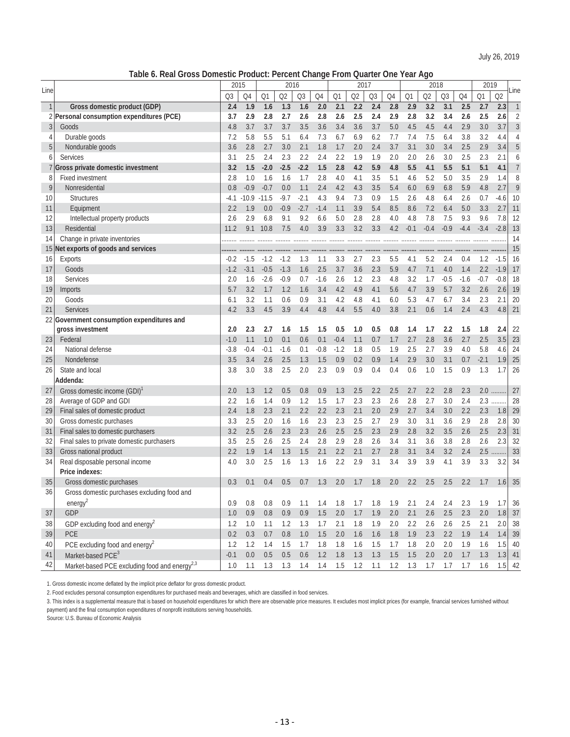**Table 6. Real Gross Domestic Product: Percent Change From Quarter One Year Ago**

|                |                                                           | 2015   |                |        | 2016   |                |         |         | 2017 |                |         |                | 2018    |                |        | 2019   |          |                |
|----------------|-----------------------------------------------------------|--------|----------------|--------|--------|----------------|---------|---------|------|----------------|---------|----------------|---------|----------------|--------|--------|----------|----------------|
| Line           |                                                           | Q3     | Q4             | Q1     | Q2     | Q <sub>3</sub> | Q4      | Q1      | Q2   | Q <sub>3</sub> | Q4      | Q <sub>1</sub> | Q2      | Q <sub>3</sub> | Q4     | Q1     | Q2       | Line           |
| $\mathbf{1}$   | Gross domestic product (GDP)                              | 2.4    | 1.9            | 1.6    | 1.3    | 1.6            | 2.0     | 2.1     | 2.2  | 2.4            | 2.8     | 2.9            | 3.2     | 3.1            | 2.5    | 2.7    | 2.3      | $\mathbf{1}$   |
| 2              | Personal consumption expenditures (PCE)                   | 3.7    | 2.9            | 2.8    | 2.7    | 2.6            | 2.8     | 2.6     | 2.5  | 2.4            | 2.9     | 2.8            | 3.2     | 3.4            | 2.6    | 2.5    | 2.6      | $\overline{2}$ |
| $\mathfrak{Z}$ | Goods                                                     | 4.8    | 3.7            | 3.7    | 3.7    | 3.5            | 3.6     | 3.4     | 3.6  | 3.7            | 5.0     | 4.5            | 4.5     | 4.4            | 2.9    | 3.0    | 3.7      | $\mathfrak{Z}$ |
| 4              | Durable goods                                             | 7.2    | 5.8            | 5.5    | 5.1    | 6.4            | 7.3     | 6.7     | 6.9  | 6.2            | 7.7     | 7.4            | 7.5     | 6.4            | 3.8    | 3.2    | 4.4      | $\overline{A}$ |
| 5              | Nondurable goods                                          | 3.6    | 2.8            | 2.7    | 3.0    | 2.1            | 1.8     | 1.7     | 2.0  | 2.4            | 3.7     | 3.1            | 3.0     | 3.4            | 2.5    | 2.9    | 3.4      | 5              |
| 6              | <b>Services</b>                                           | 3.1    | 2.5            | 2.4    | 2.3    | 2.2            | 2.4     | 2.2     | 1.9  | 1.9            | 2.0     | 2.0            | 2.6     | 3.0            | 2.5    | 2.3    | 2.1      | 6              |
|                | Gross private domestic investment                         | 3.2    | 1.5            | $-2.0$ | $-2.5$ | $-2.2$         | 1.5     | 2.8     | 4.2  | 5.9            | 4.8     | 5.5            | 4.1     | 5.5            | 5.1    | 5.1    | 4.1      | $\overline{7}$ |
| 8              | <b>Fixed investment</b>                                   | 2.8    | 1.0            | 1.6    | 1.6    | 1.7            | 2.8     | 4.0     | 4.1  | 3.5            | 5.1     | 4.6            | 5.2     | 5.0            | 3.5    | 2.9    | 1.4      | 8              |
| 9              | Nonresidential                                            | 0.8    | $-0.9$         | $-0.7$ | 0.0    | 1.1            | 2.4     | 4.2     | 4.3  | 3.5            | 5.4     | 6.0            | 6.9     | 6.8            | 5.9    | 4.8    | 2.7      | 9              |
| 10             | <b>Structures</b>                                         | $-4.1$ | $-10.9 - 11.5$ |        | $-9.7$ | $-2.1$         | 4.3     | 9.4     | 7.3  | 0.9            | 1.5     | 2.6            | 4.8     | 6.4            | 2.6    | 0.7    | $-4.6$   | 10             |
| 11             | Equipment                                                 | 2.2    | 1.9            | 0.0    | $-0.9$ | $-2.7$         | $-1.4$  | 1.1     | 3.9  | 5.4            | 8.5     | 8.6            | 7.2     | 6.4            | 5.0    | 3.3    | 2.7      | 11             |
| 12             | Intellectual property products                            | 2.6    | 2.9            | 6.8    | 9.1    | 9.2            | 6.6     | 5.0     | 2.8  | 2.8            | 4.0     | 4.8            | 7.8     | 7.5            | 9.3    | 9.6    | 7.8      | 12             |
| 13             | Residential                                               | 11.2   | 9.1            | 10.8   | 7.5    | 4.0            | 3.9     | 3.3     | 3.2  | 3.3            | 4.2     | $-0.1$         | $-0.4$  | $-0.9$         | $-4.4$ | $-3.4$ | $-2.8$   | 13             |
| 14             | Change in private inventories                             |        |                |        |        |                |         |         |      |                |         |                |         |                |        |        |          | 14             |
| 15             | Net exports of goods and services                         |        |                |        |        |                |         |         |      |                |         |                |         |                |        |        |          | 15             |
| 16             | Exports                                                   | $-0.2$ | $-1.5$         | $-1.2$ | $-1.2$ | 1.3            | 1.1     | 3.3     | 2.7  | 2.3            | 5.5     | 4.1            | 5.2     | 2.4            | 0.4    | 1.2    | $-1.5$   | 16             |
| 17             | Goods                                                     | $-1.2$ | $-3.1$         | $-0.5$ | $-1.3$ | 1.6            | 2.5     | 3.7     | 3.6  | 2.3            | 5.9     | 4.7            | 7.1     | 4.0            | 1.4    | 2.2    | $-1.9$   | 17             |
| 18             | <b>Services</b>                                           | 2.0    | 1.6            | $-2.6$ | $-0.9$ | 0.7            | $-1.6$  | 2.6     | 1.2  | 2.3            | 4.8     | 3.2            | 1.7     | $-0.5$         | $-1.6$ | $-0.7$ | $-0.8$   | 18             |
| 19             | Imports                                                   | 5.7    | 3.2            | 1.7    | 1.2    | 1.6            | 3.4     | 4.2     | 4.9  | 4.1            | 5.6     | 4.7            | 3.9     | 5.7            | 3.2    | 2.6    | 2.6      | 19             |
| 20             | Goods                                                     | 6.1    | 3.2            | 1.1    | 0.6    | 0.9            | 3.1     | 4.2     | 4.8  | 4.1            | 6.0     | 5.3            | 4.7     | 6.7            | 3.4    | 2.3    | 2.1      | 20             |
| 21             | Services                                                  | 4.2    | 3.3            | 4.5    | 3.9    | 4.4            | 4.8     | 4.4     | 5.5  | 4.0            | 3.8     | 2.1            | 0.6     | 1.4            | 2.4    | 4.3    | 4.8      | 21             |
| 22             | Government consumption expenditures and                   |        |                |        |        |                |         |         |      |                |         |                |         |                |        |        |          |                |
|                | gross investment                                          | 2.0    | 2.3            | 2.7    | 1.6    | 1.5            | 1.5     | 0.5     | 1.0  | 0.5            | 0.8     | 1.4            | 1.7     | 2.2            | 1.5    | 1.8    | 2.4      | 22             |
| 23             | Federal                                                   | $-1.0$ | 1.1            | 1.0    | 0.1    | 0.6            | 0.1     | $-0.4$  | 1.1  | 0.7            | 1.7     | 2.7            | 2.8     | 3.6            | 2.7    | 2.5    | 3.5      | 23             |
| 24             | National defense                                          | $-3.8$ | $-0.4$         | $-0.1$ | $-1.6$ | 0.1            | $-0.8$  | $-1.2$  | 1.8  | 0.5            | 1.9     | 2.5            | 2.7     | 3.9            | 4.0    | 5.8    | 4.6      | 24             |
| 25             | Nondefense                                                | 3.5    | 3.4            | 2.6    | 2.5    | 1.3            | 1.5     | 0.9     | 0.2  | 0.9            | 1.4     | 2.9            | 3.0     | 3.1            | 0.7    | $-2.1$ | 1.9      | 25             |
| 26             | State and local                                           | 3.8    | 3.0            | 3.8    | 2.5    | 2.0            | 2.3     | 0.9     | 0.9  | 0.4            | 0.4     | 0.6            | 1.0     | 1.5            | 0.9    | 1.3    | 1.7      | 26             |
|                | Addenda:                                                  |        |                |        |        |                |         |         |      |                |         |                |         |                |        |        |          |                |
| 27             | Gross domestic income (GDI)                               | 2.0    | 1.3            | 1.2    | 0.5    | 0.8            | 0.9     | 1.3     | 2.5  | 2.2            | 2.5     | 2.7            | 2.2     | 2.8            | 2.3    | 2.0    |          | 27             |
| 28             | Average of GDP and GDI                                    | 2.2    | 1.6            | 1.4    | 0.9    | 1.2            | 1.5     | 1.7     | 2.3  | 2.3            | 2.6     | 2.8            | 2.7     | 3.0            | 2.4    | 2.3    | .        | 28             |
| 29             | Final sales of domestic product                           | 2.4    | 1.8            | 2.3    | 2.1    | 2.2            | 2.2     | 2.3     | 2.1  | 2.0            | 2.9     | 2.7            | 3.4     | 3.0            | 2.2    | 2.3    | 1.8      | 29             |
| 30             | Gross domestic purchases                                  | 3.3    | 2.5            | 2.0    | 1.6    | 1.6            | 2.3     | 2.3     | 2.5  | 2.7            | 2.9     | 3.0            | 3.1     | 3.6            | 2.9    | 2.8    | 2.8      | 30             |
| 31             | Final sales to domestic purchasers                        | 3.2    | 2.5            | 2.6    | 2.3    | 2.3            | 2.6     | 2.5     | 2.5  | 2.3            | 2.9     | 2.8            | 3.2     | 3.5            | 2.6    | 2.5    | 2.3      | 31             |
| 32             | Final sales to private domestic purchasers                | 3.5    | 2.5            | 2.6    | 2.5    | 2.4            | 2.8     | 2.9     | 2.8  | 2.6            | 3.4     | 3.1            | 3.6     | 3.8            | 2.8    | 2.6    | 2.3      | 32             |
| 33             | Gross national product                                    | 2.2    | 1.9            | 1.4    | 1.3    | 1.5            | 2.1     | 2.2     | 2.1  | 2.7            | 2.8     | 3.1            | 3.4     | 3.2            | 2.4    | 2.5    |          | 33             |
| 34             | Real disposable personal income                           | 4.0    | 3.0            | 2.5    | 1.6    | 1.3            | 1.6     | 2.2     | 2.9  | 3.1            | 3.4     | 3.9            | 3.9     | 4.1            | 3.9    | 3.3    | 3.2      | 34             |
|                | Price indexes:                                            |        |                |        |        |                |         |         |      |                |         |                |         |                |        |        |          |                |
| 35             | Gross domestic purchases                                  | 0.3    | 0.1            | 0.4    | 0.5    | 0.7            | 1.3     | 2.0     | 1.7  | 1.8            | 2.0     | 2.2            | 2.5     | 2.5            | 2.2    | 1.7    | 1.6      | 35             |
| 36             | Gross domestic purchases excluding food and               |        |                |        |        |                |         |         |      |                |         |                |         |                |        |        |          |                |
|                | energy <sup>2</sup>                                       | 0.9    | $0.8\,$        | 0.8    | 0.9    | 1.1            | 1.4     | 1.8     | 1.7  | 1.8            | 1.9     | 2.1            | 2.4     | 2.4            | 2.3    | 1.9    | 1.7      | 36             |
| 37             | GDP                                                       | 1.0    | 0.9            | 0.8    | 0.9    | 0.9            | 1.5     | 2.0     | 1.7  | 1.9            | 2.0     | 2.1            | 2.6     | 2.5            | 2.3    | 2.0    |          | $1.8$ 37       |
| 38             | GDP excluding food and energy <sup>2</sup>                | 1.2    | $1.0\,$        | 1.1    | 1.2    | 1.3            | $1.7\,$ | 2.1     | 1.8  | 1.9            | $2.0\,$ | 2.2            | 2.6     | 2.6            | 2.5    | 2.1    | 2.0      | 38             |
| 39             | PCE                                                       | 0.2    | 0.3            | 0.7    | 0.8    | $1.0$          | 1.5     | $2.0\,$ | 1.6  | 1.6            | 1.8     | $1.9$          | $2.3\,$ | 2.2            | 1.9    | 1.4    | 1.4      | 39             |
| 40             | PCE excluding food and energy $^2$                        | 1.2    | 1.2            | 1.4    | 1.5    | 1.7            | $1.8$   | $1.8\,$ | 1.6  | 1.5            | 1.7     | $1.8\,$        | 2.0     | 2.0            | 1.9    | 1.6    | 1.5      | 40             |
| 41             | Market-based PCE <sup>3</sup>                             | $-0.1$ | 0.0            | 0.5    | 0.5    | 0.6            | 1.2     | $1.8\,$ | 1.3  | 1.3            | 1.5     | 1.5            | 2.0     | 2.0            | 1.7    | 1.3    | $1.3$ 41 |                |
| 42             | Market-based PCE excluding food and energy <sup>2,3</sup> | 1.0    | 1.1            | 1.3    | 1.3    | 1.4            | 1.4     | 1.5     | 1.2  | 1.1            | 1.2     | 1.3            | 1.7     | 1.7            | 1.7    | 1.6    | 1.5      | 42             |

1. Gross domestic income deflated by the implicit price deflator for gross domestic product.

2. Food excludes personal consumption expenditures for purchased meals and beverages, which are classified in food services.

3. This index is a supplemental measure that is based on household expenditures for which there are observable price measures. It excludes most implicit prices (for example, financial services furnished without payment) and the final consumption expenditures of nonprofit institutions serving households.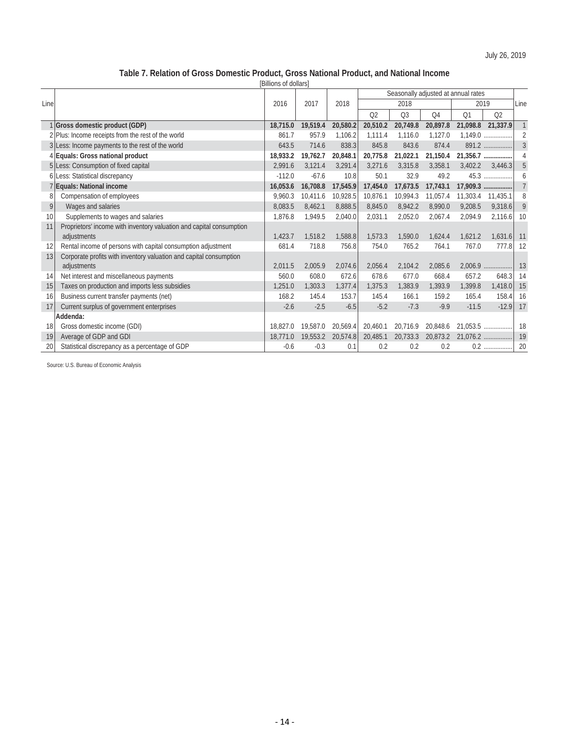# **Table 7. Relation of Gross Domestic Product, Gross National Product, and National Income**

|      | [Billions of dollars]                                                |          |          |          |                |                                     |                |          |                |                |  |  |  |  |
|------|----------------------------------------------------------------------|----------|----------|----------|----------------|-------------------------------------|----------------|----------|----------------|----------------|--|--|--|--|
|      |                                                                      |          |          |          |                | Seasonally adjusted at annual rates |                |          |                |                |  |  |  |  |
| Line |                                                                      | 2016     | 2017     | 2018     |                | 2018                                |                | 2019     |                | Line           |  |  |  |  |
|      |                                                                      |          |          |          | Q <sub>2</sub> | Q <sub>3</sub>                      | Q <sub>4</sub> | Q1       | Q <sub>2</sub> |                |  |  |  |  |
|      | 1 Gross domestic product (GDP)                                       | 18,715.0 | 19,519.4 | 20,580.2 | 20,510.2       | 20,749.8                            | 20,897.8       | 21,098.8 | 21,337.9       | $\mathbf{1}$   |  |  |  |  |
|      | 2 Plus: Income receipts from the rest of the world                   | 861.7    | 957.9    | 1,106.2  | 1.111.4        | 1,116.0                             | 1,127.0        |          | $1,149.0$      | $\overline{2}$ |  |  |  |  |
|      | 3 Less: Income payments to the rest of the world                     | 643.5    | 714.6    | 838.3    | 845.8          | 843.6                               | 874.4          |          | 891.2          | $\overline{3}$ |  |  |  |  |
|      | 4 Equals: Gross national product                                     | 18,933.2 | 19,762.7 | 20,848.1 | 20,775.8       | 21,022.1                            | 21,150.4       | 21,356.7 |                | 4              |  |  |  |  |
|      | 5 Less: Consumption of fixed capital                                 | 2,991.6  | 3,121.4  | 3,291.4  | 3,271.6        | 3,315.8                             | 3,358.1        | 3,402.2  | 3,446.3        | 5              |  |  |  |  |
|      | 6 Less: Statistical discrepancy                                      | $-112.0$ | $-67.6$  | 10.8     | 50.1           | 32.9                                | 49.2           |          | 45.3           | 6              |  |  |  |  |
|      | 7 Equals: National income                                            | 16,053.6 | 16,708.8 | 17,545.9 | 17,454.0       | 17,673.5                            | 17,743.1       | 17,909.3 | .              | $\overline{7}$ |  |  |  |  |
| 8    | Compensation of employees                                            | 9,960.3  | 10.411.6 | 10,928.5 | 10,876.1       | 10,994.3                            | 11,057.4       | 11,303.4 | 11,435.1       | 8              |  |  |  |  |
| 9    | Wages and salaries                                                   | 8,083.5  | 8,462.1  | 8,888.5  | 8,845.0        | 8,942.2                             | 8,990.0        | 9.208.5  | 9,318.6        | 9              |  |  |  |  |
| 10   | Supplements to wages and salaries                                    | 1,876.8  | 1,949.5  | 2,040.0  | 2,031.1        | 2,052.0                             | 2,067.4        | 2,094.9  | 2,116.6        | 10             |  |  |  |  |
| 11   | Proprietors' income with inventory valuation and capital consumption |          |          |          |                |                                     |                |          |                |                |  |  |  |  |
|      | adjustments                                                          | 1,423.7  | 1,518.2  | 1,588.8  | 1,573.3        | 1,590.0                             | 1,624.4        | 1,621.2  | 1,631.6        | 11             |  |  |  |  |
| 12   | Rental income of persons with capital consumption adjustment         | 681.4    | 718.8    | 756.8    | 754.0          | 765.2                               | 764.1          | 767.0    | 777.8          | 12             |  |  |  |  |
| 13   | Corporate profits with inventory valuation and capital consumption   |          |          |          |                |                                     |                |          |                |                |  |  |  |  |
|      | adjustments                                                          | 2,011.5  | 2,005.9  | 2,074.6  | 2,056.4        | 2,104.2                             | 2,085.6        |          | 2,006.9        | 13             |  |  |  |  |
| 14   | Net interest and miscellaneous payments                              | 560.0    | 608.0    | 672.6    | 678.6          | 677.0                               | 668.4          | 657.2    | 648.3          | 14             |  |  |  |  |
| 15   | Taxes on production and imports less subsidies                       | 1,251.0  | 1,303.3  | 1,377.4  | 1,375.3        | 1,383.9                             | 1.393.9        | 1,399.8  | 1,418.0        | 15             |  |  |  |  |
| 16   | Business current transfer payments (net)                             | 168.2    | 145.4    | 153.7    | 145.4          | 166.1                               | 159.2          | 165.4    | 158.4          | 16             |  |  |  |  |
| 17   | Current surplus of government enterprises                            | $-2.6$   | $-2.5$   | $-6.5$   | $-5.2$         | $-7.3$                              | $-9.9$         | $-11.5$  | $-12.9$        | 17             |  |  |  |  |
|      | Addenda:                                                             |          |          |          |                |                                     |                |          |                |                |  |  |  |  |
| 18   | Gross domestic income (GDI)                                          | 18,827.0 | 19,587.0 | 20.569.4 | 20,460.1       | 20,716.9                            | 20.848.6       | 21.053.5 |                | 18             |  |  |  |  |
| 19   | Average of GDP and GDI                                               | 18,771.0 | 19,553.2 | 20,574.8 | 20,485.1       | 20,733.3                            | 20,873.2       | 21,076.2 | .              | 19             |  |  |  |  |
| 20   | Statistical discrepancy as a percentage of GDP                       | $-0.6$   | $-0.3$   | 0.1      | 0.2            | 0.2                                 | 0.2            |          |                | 20             |  |  |  |  |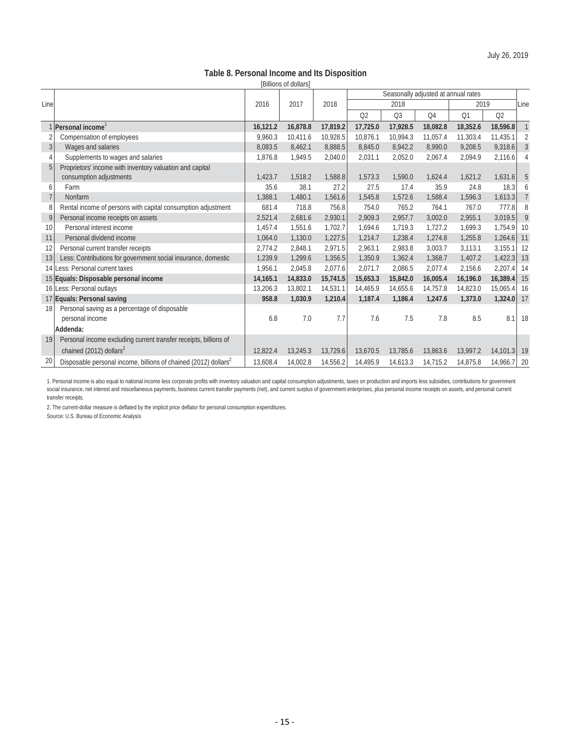# **Table 8. Personal Income and Its Disposition**

|                |                                                                             |          | [Billions of dollars] |          |                |                                     |                |          |                |                |
|----------------|-----------------------------------------------------------------------------|----------|-----------------------|----------|----------------|-------------------------------------|----------------|----------|----------------|----------------|
|                |                                                                             |          |                       |          |                | Seasonally adjusted at annual rates |                |          |                |                |
| Line           |                                                                             | 2016     | 2017                  | 2018     |                | 2018                                |                | 2019     |                | Line           |
|                |                                                                             |          |                       |          | Q <sub>2</sub> | Q <sub>3</sub>                      | Q <sub>4</sub> | Q1       | Q <sub>2</sub> |                |
|                | 1 Personal income                                                           | 16,121.2 | 16,878.8              | 17,819.2 | 17,725.0       | 17,928.5                            | 18,082.8       | 18,352.6 | 18,596.8       | $\mathbf{1}$   |
|                | Compensation of employees                                                   | 9.960.3  | 10,411.6              | 10,928.5 | 10.876.1       | 10,994.3                            | 11,057.4       | 11,303.4 | 11,435.1       | 2              |
| 3              | Wages and salaries                                                          | 8,083.5  | 8,462.1               | 8,888.5  | 8,845.0        | 8,942.2                             | 8,990.0        | 9,208.5  | 9,318.6        | $\mathbf{3}$   |
| $\overline{4}$ | Supplements to wages and salaries                                           | 1.876.8  | 1.949.5               | 2,040.0  | 2.031.1        | 2,052.0                             | 2,067.4        | 2,094.9  | 2,116.6        | 4              |
| 5              | Proprietors' income with inventory valuation and capital                    |          |                       |          |                |                                     |                |          |                |                |
|                | consumption adjustments                                                     | 1,423.7  | 1,518.2               | 1,588.8  | 1,573.3        | 1,590.0                             | 1,624.4        | 1,621.2  | 1,631.6        | 5              |
| 6              | Farm                                                                        | 35.6     | 38.1                  | 27.2     | 27.5           | 17.4                                | 35.9           | 24.8     | 18.3           | 6              |
| $\overline{7}$ | Nonfarm                                                                     | 1,388.1  | 1,480.1               | 1,561.6  | 1,545.8        | 1,572.6                             | 1,588.4        | 1.596.3  | 1,613.3        | $\overline{7}$ |
| 8              | Rental income of persons with capital consumption adjustment                | 681.4    | 718.8                 | 756.8    | 754.0          | 765.2                               | 764.1          | 767.0    | 777.8          | 8              |
| 9              | Personal income receipts on assets                                          | 2,521.4  | 2,681.6               | 2,930.1  | 2,909.3        | 2,957.7                             | 3,002.0        | 2,955.1  | 3,019.5        | 9              |
| 10             | Personal interest income                                                    | 1,457.4  | 1,551.6               | 1,702.7  | 1,694.6        | 1,719.3                             | 1,727.2        | 1,699.3  | 1,754.9        | 10             |
| 11             | Personal dividend income                                                    | 1,064.0  | 1,130.0               | 1,227.5  | 1,214.7        | 1,238.4                             | 1,274.8        | 1,255.8  | 1,264.6        | 11             |
| 12             | Personal current transfer receipts                                          | 2,774.2  | 2,848.1               | 2,971.5  | 2,963.1        | 2,983.8                             | 3,003.7        | 3,113.1  | 3,155.1        | 12             |
| 13             | Less: Contributions for government social insurance, domestic               | 1,239.9  | 1.299.6               | 1,356.5  | 1,350.9        | 1,362.4                             | 1,368.7        | 1,407.2  | 1,422.3        | 13             |
|                | 14 Less: Personal current taxes                                             | 1,956.1  | 2,045.8               | 2,077.6  | 2,071.7        | 2,086.5                             | 2,077.4        | 2,156.6  | 2,207.4        | 14             |
|                | 15 Equals: Disposable personal income                                       | 14,165.1 | 14,833.0              | 15,741.5 | 15,653.3       | 15,842.0                            | 16,005.4       | 16,196.0 | 16,389.4       | 15             |
|                | 16 Less: Personal outlays                                                   | 13,206.3 | 13,802.1              | 14,531.1 | 14,465.9       | 14,655.6                            | 14,757.8       | 14,823.0 | 15,065.4       | 16             |
|                | 17 Equals: Personal saving                                                  | 958.8    | 1,030.9               | 1,210.4  | 1,187.4        | 1,186.4                             | 1,247.6        | 1,373.0  | 1,324.0        | 17             |
| 18             | Personal saving as a percentage of disposable                               |          |                       |          |                |                                     |                |          |                |                |
|                | personal income                                                             | 6.8      | 7.0                   | 7.7      | 7.6            | 7.5                                 | 7.8            | 8.5      | 8.1            | 18             |
|                | Addenda:                                                                    |          |                       |          |                |                                     |                |          |                |                |
| 19             | Personal income excluding current transfer receipts, billions of            |          |                       |          |                |                                     |                |          |                |                |
|                | chained (2012) dollars <sup>2</sup>                                         | 12.822.4 | 13,245.3              | 13,729.6 | 13.670.5       | 13,785.6                            | 13.863.6       | 13,997.2 | 14,101.3       | 19             |
| 20             | Disposable personal income, billions of chained (2012) dollars <sup>2</sup> | 13,608.4 | 14,002.8              | 14,556.2 | 14,495.9       | 14,613.3                            | 14,715.2       | 14,875.8 | 14,966.7       | 20             |

1. Personal income is also equal to national income less corporate profits with inventory valuation and capital consumption adjustments, taxes on production and imports less subsidies, contributions for government social insurance, net interest and miscellaneous payments, business current transfer payments (net), and current surplus of government enterprises, plus personal income receipts on assets, and personal current transfer receipts.

2. The current-dollar measure is deflated by the implicit price deflator for personal consumption expenditures.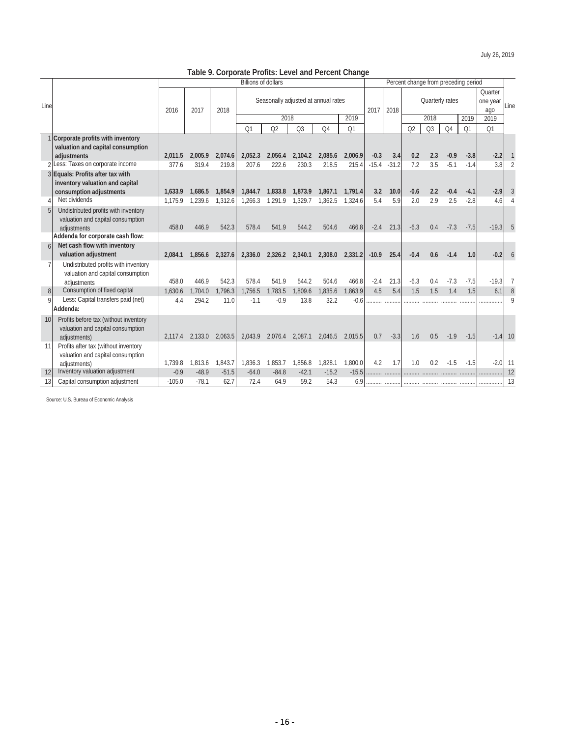# **Table 9. Corporate Profits: Level and Percent Change**

|                 |                                                |          |         |         | <b>Billions of dollars</b> |                 |                | Percent change from preceding period |                |         |         |                |                 |                |                     |           |               |
|-----------------|------------------------------------------------|----------|---------|---------|----------------------------|-----------------|----------------|--------------------------------------|----------------|---------|---------|----------------|-----------------|----------------|---------------------|-----------|---------------|
|                 |                                                |          |         |         |                            |                 |                | Seasonally adjusted at annual rates  |                |         |         |                | Quarterly rates |                | Quarter<br>one year |           |               |
| Line            |                                                | 2016     | 2017    | 2018    |                            |                 |                |                                      |                | 2017    | 2018    |                |                 |                |                     | ago       | Line          |
|                 |                                                |          |         |         |                            | 2018            |                |                                      | 2019           |         |         |                | 2018            |                | 2019                | 2019      |               |
|                 |                                                |          |         |         | O <sub>1</sub>             | Q <sub>2</sub>  | Q <sub>3</sub> | O <sub>4</sub>                       | O <sub>1</sub> |         |         | Q <sub>2</sub> | Q <sub>3</sub>  | O <sub>4</sub> | O <sub>1</sub>      | Q1        |               |
|                 | Corporate profits with inventory               |          |         |         |                            |                 |                |                                      |                |         |         |                |                 |                |                     |           |               |
|                 | valuation and capital consumption              |          |         |         |                            |                 |                |                                      |                |         |         |                |                 |                |                     |           |               |
|                 | adiustments                                    | 2.011.5  | 2.005.9 | 2,074.6 | 2.052.3                    | 2.056.4         | 2,104.2        | 2,085.6                              | 2,006.9        | $-0.3$  | 3.4     | 0.2            | 2.3             | $-0.9$         | $-3.8$              | $-2.2$    |               |
|                 | 2 Less: Taxes on corporate income              | 377.6    | 319.4   | 219.8   | 207.6                      | 222.6           | 230.3          | 218.5                                | 215.4          | $-15.4$ | $-31.2$ | 7.2            | 3.5             | $-5.1$         | $-1.4$              | 3.8       | $\mathcal{P}$ |
|                 | 3 Equals: Profits after tax with               |          |         |         |                            |                 |                |                                      |                |         |         |                |                 |                |                     |           |               |
|                 | inventory valuation and capital                | 1.633.9  | 1.686.5 | 1,854.9 | 1,844.7                    | 1,833.8         | 1.873.9        | 1,867.1                              | 1,791.4        | 3.2     | 10.0    | $-0.6$         | 2.2             | $-0.4$         | $-4.1$              | $-2.9$    | 3             |
|                 | consumption adjustments<br>Net dividends       | 1.175.9  | 1.239.6 | 1,312.6 | 1,266.3                    | 1,291.9         | 1,329.7        | 1,362.5                              | 1,324.6        | 5.4     | 5.9     | 2.0            | 2.9             | 2.5            | $-2.8$              | 4.6       |               |
|                 | Undistributed profits with inventory           |          |         |         |                            |                 |                |                                      |                |         |         |                |                 |                |                     |           |               |
|                 | valuation and capital consumption              |          |         |         |                            |                 |                |                                      |                |         |         |                |                 |                |                     |           |               |
|                 | adjustments                                    | 458.0    | 446.9   | 542.3   | 578.4                      | 541.9           | 544.2          | 504.6                                | 466.8          | $-2.4$  | 21.3    | $-6.3$         | 0.4             | $-7.3$         | $-7.5$              | $-19.3$   | 5             |
|                 | Addenda for corporate cash flow:               |          |         |         |                            |                 |                |                                      |                |         |         |                |                 |                |                     |           |               |
|                 | Net cash flow with inventory                   |          |         |         |                            |                 |                |                                      |                |         |         |                |                 |                |                     |           |               |
|                 | valuation adjustment                           | 2.084.1  | 1.856.6 | 2.327.6 | 2.336.0                    | 2,326.2 2,340.1 |                | 2,308.0                              | 2.331.2        | $-10.9$ | 25.4    | $-0.4$         | 0.6             | $-1.4$         | 1.0                 | $-0.2$    | 6             |
| $\overline{7}$  | Undistributed profits with inventory           |          |         |         |                            |                 |                |                                      |                |         |         |                |                 |                |                     |           |               |
|                 | valuation and capital consumption              |          |         |         |                            |                 |                |                                      |                |         |         |                |                 |                |                     |           |               |
|                 | adjustments                                    | 458.0    | 446.9   | 542.3   | 578.4                      | 541.9           | 544.2          | 504.6                                | 466.8          | $-2.4$  | 21.3    | $-6.3$         | 0.4             | $-7.3$         | $-7.5$              | $-19.3$   | 7             |
| 8               | Consumption of fixed capital                   | 1.630.6  | 1.704.0 | 1.796.3 | 1.756.5                    | 1.783.5         | 1.809.6        | 1.835.6                              | 1.863.9        | 4.5     | 5.4     | 1.5            | 1.5             | 1.4            | 1.5                 | 6.1       | 8             |
| Q               | Less: Capital transfers paid (net)             | 4.4      | 294.2   | 11.0    | $-1.1$                     | $-0.9$          | 13.8           | 32.2                                 | $-0.6$         |         |         |                |                 |                |                     |           | $\mathsf{Q}$  |
|                 | Addenda:                                       |          |         |         |                            |                 |                |                                      |                |         |         |                |                 |                |                     |           |               |
| 10 <sup>1</sup> | Profits before tax (without inventory          |          |         |         |                            |                 |                |                                      |                |         |         |                |                 |                |                     |           |               |
|                 | valuation and capital consumption              |          |         |         |                            |                 |                |                                      |                |         |         |                |                 |                |                     |           |               |
|                 | adjustments)                                   | 2.117.4  | 2.133.0 | 2.063.5 | 2.043.9                    | 2.076.4         | 2.087.1        | 2.046.5                              | 2.015.5        | 0.7     | $-3.3$  | 1.6            | 0.5             | $-1.9$         | $-1.5$              | $-1.4$ 10 |               |
| 11              | Profits after tax (without inventory           |          |         |         |                            |                 |                |                                      |                |         |         |                |                 |                |                     |           |               |
|                 | valuation and capital consumption              | 1.739.8  | 1.813.6 | 1.843.7 | 1.836.3                    | 1.853.7         | 1.856.8        | 1.828.1                              | 1.800.0        | 4.2     | 1.7     | 1.0            | 0.2             | $-1.5$         | $-1.5$              | $-2.0$    | 11            |
| 12              | adiustments)<br>Inventory valuation adjustment | $-0.9$   | $-48.9$ | $-51.5$ | $-64.0$                    | $-84.8$         | $-42.1$        | $-15.2$                              | $-15.5$        |         |         |                |                 |                |                     |           | 12            |
| 13              | Capital consumption adjustment                 | $-105.0$ | $-78.1$ | 62.7    | 72.4                       | 64.9            | 59.2           | 54.3                                 | 6.9            | .       |         |                |                 |                |                     |           | 13            |
|                 |                                                |          |         |         |                            |                 |                |                                      |                |         |         |                |                 |                |                     |           |               |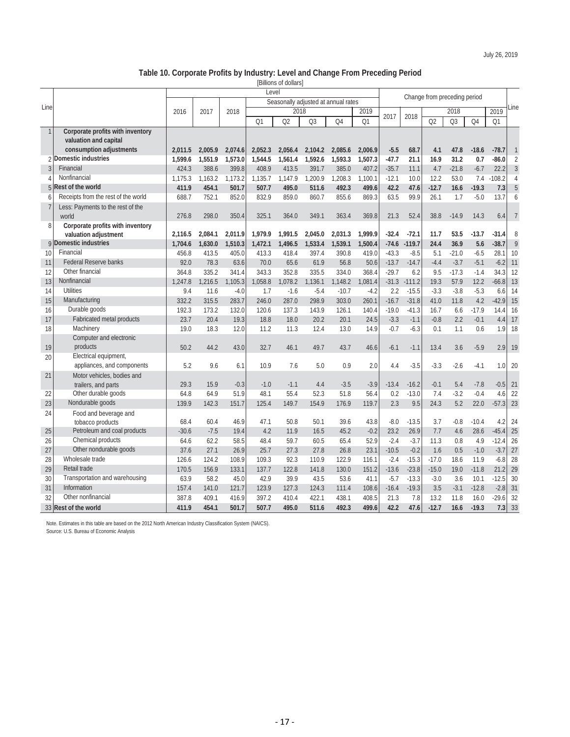#### **Table 10. Corporate Profits by Industry: Level and Change From Preceding Period**

[Billions of dollars]

|                |                                     | Level   |         |         |         |         |         |                                     |         |                              |          |         |         |                |          |                |  |
|----------------|-------------------------------------|---------|---------|---------|---------|---------|---------|-------------------------------------|---------|------------------------------|----------|---------|---------|----------------|----------|----------------|--|
|                |                                     |         |         |         |         |         |         |                                     |         | Change from preceding period |          |         |         |                |          |                |  |
| Line           |                                     |         |         |         |         | 2018    |         | Seasonally adjusted at annual rates | 2019    |                              |          |         | 2019    | Line           |          |                |  |
|                |                                     | 2016    | 2017    | 2018    |         |         |         |                                     |         | 2017                         | 2018     |         | 2018    |                |          |                |  |
|                |                                     |         |         |         | Q1      | Q2      | Q3      | Q4                                  | Q1      |                              |          | Q2      | Q3      | O <sub>4</sub> | Q1       |                |  |
| $\mathbf{1}$   | Corporate profits with inventory    |         |         |         |         |         |         |                                     |         |                              |          |         |         |                |          |                |  |
|                | valuation and capital               |         |         |         |         |         |         |                                     |         |                              |          |         |         |                |          |                |  |
|                | consumption adjustments             | 2,011.5 | 2,005.9 | 2,074.6 | 2,052.3 | 2,056.4 | 2,104.2 | 2,085.6                             | 2,006.9 | $-5.5$                       | 68.7     | 4.1     | 47.8    | $-18.6$        | $-78.7$  | $\overline{1}$ |  |
| $\overline{2}$ | Domestic industries                 | 1.599.6 | 1.551.9 | 1,573.0 | 1.544.5 | 1.561.4 | 1,592.6 | 1.593.3                             | 1,507.3 | $-47.7$                      | 21.1     | 16.9    | 31.2    | 0.7            | $-86.0$  | $\overline{2}$ |  |
| 3              | Financial                           | 424.3   | 388.6   | 399.8   | 408.9   | 413.5   | 391.7   | 385.0                               | 407.2   | $-35.7$                      | 11.1     | 4.7     | $-21.8$ | $-6.7$         | 22.2     | $\sqrt{3}$     |  |
| $\overline{4}$ | Nonfinancial                        | 1,175.3 | 1,163.2 | 1,173.2 | 1,135.7 | 1,147.9 | 1,200.9 | 1,208.3                             | 1,100.1 | $-12.1$                      | 10.0     | 12.2    | 53.0    | 7.4            | $-108.2$ | $\overline{4}$ |  |
| 5              | Rest of the world                   | 411.9   | 454.1   | 501.7   | 507.7   | 495.0   | 511.6   | 492.3                               | 499.6   | 42.2                         | 47.6     | $-12.7$ | 16.6    | $-19.3$        | 7.3      | 5              |  |
| 6              | Receipts from the rest of the world | 688.7   | 752.1   | 852.0   | 832.9   | 859.0   | 860.7   | 855.6                               | 869.3   | 63.5                         | 99.9     | 26.1    | 1.7     | $-5.0$         | 13.7     | 6              |  |
| $\overline{1}$ | Less: Payments to the rest of the   |         |         |         |         |         |         |                                     |         |                              |          |         |         |                |          |                |  |
|                | world                               | 276.8   | 298.0   | 350.4   | 325.1   | 364.0   | 349.1   | 363.4                               | 369.8   | 21.3                         | 52.4     | 38.8    | $-14.9$ | 14.3           | 6.4      | $\overline{7}$ |  |
| 8              | Corporate profits with inventory    |         |         |         |         |         |         |                                     |         |                              |          |         |         |                |          |                |  |
|                | valuation adjustment                | 2.116.5 | 2,084.1 | 2,011.9 | 1.979.9 | 1.991.5 | 2,045.0 | 2.031.3                             | 1,999.9 | $-32.4$                      | $-72.1$  | 11.7    | 53.5    | $-13.7$        | $-31.4$  | 8              |  |
| 9              | <b>Domestic industries</b>          | 1,704.6 | 1,630.0 | 1,510.3 | 1,472.1 | 1,496.5 | 1,533.4 | 1,539.1                             | 1,500.4 | $-74.6$                      | $-119.7$ | 24.4    | 36.9    | 5.6            | $-38.7$  | $\overline{9}$ |  |
| 10             | Financial                           | 456.8   | 413.5   | 405.0   | 413.3   | 418.4   | 397.4   | 390.8                               | 419.0   | $-43.3$                      | $-8.5$   | 5.1     | $-21.0$ | $-6.5$         | 28.1     | 10             |  |
| 11             | <b>Federal Reserve banks</b>        | 92.0    | 78.3    | 63.6    | 70.0    | 65.6    | 61.9    | 56.8                                | 50.6    | $-13.7$                      | $-14.7$  | $-4.4$  | $-3.7$  | $-5.1$         | $-6.2$   | 11             |  |
| 12             | Other financial                     | 364.8   | 335.2   | 341.4   | 343.3   | 352.8   | 335.5   | 334.0                               | 368.4   | $-29.7$                      | 6.2      | 9.5     | $-17.3$ | $-1.4$         | 34.3     | 12             |  |
| 13             | Nonfinancial                        | 1,247.8 | 1,216.5 | 1,105.3 | 1,058.8 | 1,078.2 | 1,136.1 | 1,148.2                             | 1,081.4 | $-31.3$                      | $-111.2$ | 19.3    | 57.9    | 12.2           | $-66.8$  | 13             |  |
| 14             | <b>Utilities</b>                    | 9.4     | 11.6    | $-4.0$  | 1.7     | $-1.6$  | $-5.4$  | $-10.7$                             | $-4.2$  | 2.2                          | $-15.5$  | $-3.3$  | $-3.8$  | $-5.3$         | 6.6      | 14             |  |
| 15             | Manufacturing                       | 332.2   | 315.5   | 283.7   | 246.0   | 287.0   | 298.9   | 303.0                               | 260.1   | $-16.7$                      | $-31.8$  | 41.0    | 11.8    | 4.2            | $-42.9$  | 15             |  |
| 16             | Durable goods                       | 192.3   | 173.2   | 132.0   | 120.6   | 137.3   | 143.9   | 126.1                               | 140.4   | $-19.0$                      | $-41.3$  | 16.7    | 6.6     | $-17.9$        | 14.4     | 16             |  |
| 17             | Fabricated metal products           | 23.7    | 20.4    | 19.3    | 18.8    | 18.0    | 20.2    | 20.1                                | 24.5    | $-3.3$                       | $-1.1$   | $-0.8$  | 2.2     | $-0.1$         | 4.4      | 17             |  |
| 18             | Machinery                           | 19.0    | 18.3    | 12.0    | 11.2    | 11.3    | 12.4    | 13.0                                | 14.9    | $-0.7$                       | $-6.3$   | 0.1     | 1.1     | 0.6            | 1.9      | 18             |  |
|                | Computer and electronic             |         |         |         |         |         |         |                                     |         |                              |          |         |         |                |          |                |  |
| 19             | products                            | 50.2    | 44.2    | 43.0    | 32.7    | 46.1    | 49.7    | 43.7                                | 46.6    | $-6.1$                       | $-1.1$   | 13.4    | 3.6     | $-5.9$         | 2.9      | 19             |  |
| 20             | Electrical equipment,               |         |         |         |         |         |         |                                     |         |                              |          |         |         |                |          |                |  |
|                | appliances, and components          | 5.2     | 9.6     | 6.1     | 10.9    | 7.6     | 5.0     | 0.9                                 | 2.0     | 4.4                          | $-3.5$   | $-3.3$  | $-2.6$  | $-4.1$         | 1.0      | 20             |  |
| 21             | Motor vehicles, bodies and          |         |         |         |         |         |         |                                     |         |                              |          |         |         |                |          |                |  |
|                | trailers, and parts                 | 29.3    | 15.9    | $-0.3$  | $-1.0$  | $-1.1$  | 4.4     | $-3.5$                              | $-3.9$  | $-13.4$                      | $-16.2$  | $-0.1$  | 5.4     | $-7.8$         | $-0.5$   | 21             |  |
| 22             | Other durable goods                 | 64.8    | 64.9    | 51.9    | 48.1    | 55.4    | 52.3    | 51.8                                | 56.4    | 0.2                          | $-13.0$  | 7.4     | $-3.2$  | $-0.4$         | 4.6      | 22             |  |
| 23             | Nondurable goods                    | 139.9   | 142.3   | 151.7   | 125.4   | 149.7   | 154.9   | 176.9                               | 119.7   | 2.3                          | 9.5      | 24.3    | 5.2     | 22.0           | $-57.3$  | 23             |  |
| 24             | Food and beverage and               |         |         |         |         |         |         |                                     |         |                              |          |         |         |                |          |                |  |
|                | tobacco products                    | 68.4    | 60.4    | 46.9    | 47.1    | 50.8    | 50.1    | 39.6                                | 43.8    | $-8.0$                       | $-13.5$  | 3.7     | $-0.8$  | $-10.4$        | 4.2      | 24             |  |
| 25             | Petroleum and coal products         | $-30.6$ | $-7.5$  | 19.4    | 4.2     | 11.9    | 16.5    | 45.2                                | $-0.2$  | 23.2                         | 26.9     | 7.7     | 4.6     | 28.6           | $-45.4$  | 25             |  |
| 26             | Chemical products                   | 64.6    | 62.2    | 58.5    | 48.4    | 59.7    | 60.5    | 65.4                                | 52.9    | $-2.4$                       | $-3.7$   | 11.3    | 0.8     | 4.9            | $-12.4$  | 26             |  |
| 27             | Other nondurable goods              | 37.6    | 27.1    | 26.9    | 25.7    | 27.3    | 27.8    | 26.8                                | 23.1    | $-10.5$                      | $-0.2$   | 1.6     | 0.5     | $-1.0$         | $-3.7$   | 27             |  |
| 28             | Wholesale trade                     | 126.6   | 124.2   | 108.9   | 109.3   | 92.3    | 110.9   | 122.9                               | 116.1   | $-2.4$                       | $-15.3$  | $-17.0$ | 18.6    | 11.9           | $-6.8$   | 28             |  |
| 29             | Retail trade                        | 170.5   | 156.9   | 133.1   | 137.7   | 122.8   | 141.8   | 130.0                               | 151.2   | $-13.6$                      | $-23.8$  | $-15.0$ | 19.0    | $-11.8$        | 21.2     | 29             |  |
| 30             | Transportation and warehousing      | 63.9    | 58.2    | 45.0    | 42.9    | 39.9    | 43.5    | 53.6                                | 41.1    | $-5.7$                       | $-13.3$  | $-3.0$  | 3.6     | 10.1           | $-12.5$  | 30             |  |
| 31             | Information                         | 157.4   | 141.0   | 121.7   | 123.9   | 127.3   | 124.3   | 111.4                               | 108.6   | $-16.4$                      | $-19.3$  | 3.5     | $-3.1$  | $-12.8$        | $-2.8$   | 31             |  |
| 32             | Other nonfinancial                  | 387.8   | 409.1   | 416.9   | 397.2   | 410.4   | 422.1   | 438.1                               | 408.5   | 21.3                         | 7.8      | 13.2    | 11.8    | 16.0           | $-29.6$  | 32             |  |
|                | 33 Rest of the world                | 411.9   | 454.1   | 501.7   | 507.7   | 495.0   | 511.6   | 492.3                               | 499.6   | 42.2                         | 47.6     | $-12.7$ | 16.6    | $-19.3$        | 7.3      | 33             |  |

Note. Estimates in this table are based on the 2012 North American Industry Classification System (NAICS).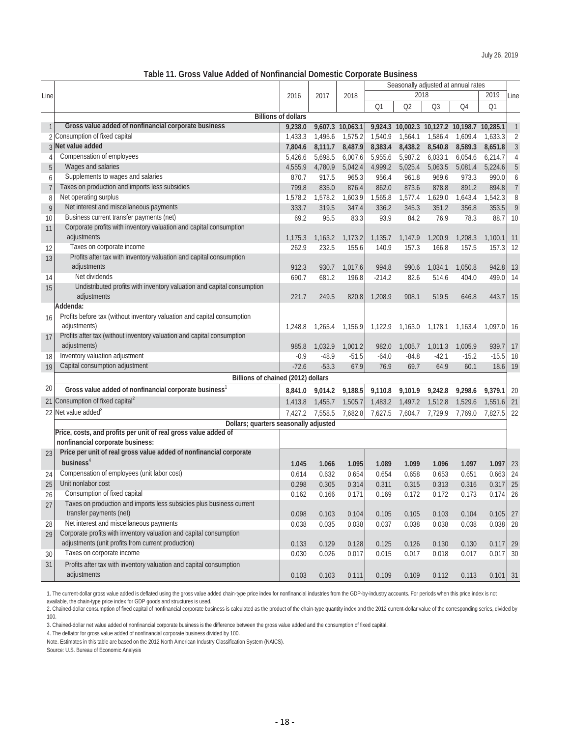# **Table 11. Gross Value Added of Nonfinancial Domestic Corporate Business**

|                |                                                                                        |                            |         |                  | Seasonally adjusted at annual rates |                 |                                             |         |            |                |
|----------------|----------------------------------------------------------------------------------------|----------------------------|---------|------------------|-------------------------------------|-----------------|---------------------------------------------|---------|------------|----------------|
| Line           |                                                                                        | 2016                       | 2017    | 2018             |                                     |                 | 2018                                        |         | 2019       | Line           |
|                |                                                                                        |                            |         |                  | Q1                                  | Q2              | Q <sub>3</sub>                              | Q4      | Q1         |                |
|                |                                                                                        | <b>Billions of dollars</b> |         |                  |                                     |                 |                                             |         |            |                |
| 1              | Gross value added of nonfinancial corporate business                                   | 9,238.0                    |         | 9,607.3 10,063.1 |                                     |                 | 9,924.3 10,002.3 10,127.2 10,198.7 10,285.1 |         |            | $\mathbf{1}$   |
|                | Consumption of fixed capital                                                           | 1,433.3                    | 1,495.6 | 1,575.2          | 1,540.9                             | 1,564.1         | 1,586.4                                     | 1.609.4 | 1,633.3    | $\overline{2}$ |
| 3              | Net value added                                                                        | 7,804.6                    | 8,111.7 | 8,487.9          | 8,383.4                             | 8,438.2         | 8,540.8                                     | 8,589.3 | 8,651.8    | 3              |
| 4              | Compensation of employees                                                              | 5,426.6                    | 5,698.5 | 6,007.6          | 5,955.6                             | 5,987.2         | 6,033.1                                     | 6,054.6 | 6,214.7    | 4              |
| 5              | Wages and salaries                                                                     | 4,555.9                    | 4,780.9 | 5,042.4          | 4,999.2                             | 5,025.4         | 5,063.5                                     | 5,081.4 | 5,224.6    | 5              |
| 6              | Supplements to wages and salaries                                                      | 870.7                      | 917.5   | 965.3            | 956.4                               | 961.8           | 969.6                                       | 973.3   | 990.0      | 6              |
| $\overline{7}$ | Taxes on production and imports less subsidies                                         | 799.8                      | 835.0   | 876.4            | 862.0                               | 873.6           | 878.8                                       | 891.2   | 894.8      | $\overline{7}$ |
| 8              | Net operating surplus                                                                  | 1,578.2                    | 1,578.2 | 1,603.9          | 1,565.8                             | 1,577.4         | 1,629.0                                     | 1,643.4 | 1,542.3    | 8              |
| 9              | Net interest and miscellaneous payments                                                | 333.7                      | 319.5   | 347.4            | 336.2                               | 345.3           | 351.2                                       | 356.8   | 353.5      | 9              |
| 10             | Business current transfer payments (net)                                               | 69.2                       | 95.5    | 83.3             | 93.9                                | 84.2            | 76.9                                        | 78.3    | 88.7       | 10             |
| 11             | Corporate profits with inventory valuation and capital consumption                     |                            |         |                  |                                     |                 |                                             |         |            |                |
|                | adjustments                                                                            | 1,175.3                    | 1,163.2 | 1,173.2          | 1,135.7                             | 1,147.9         | 1,200.9                                     | 1,208.3 | 1,100.1    | 11             |
| 12             | Taxes on corporate income                                                              | 262.9                      | 232.5   | 155.6            | 140.9                               | 157.3           | 166.8                                       | 157.5   | 157.3      | 12             |
| 13             | Profits after tax with inventory valuation and capital consumption                     |                            |         |                  |                                     |                 |                                             |         |            |                |
|                | adjustments                                                                            | 912.3                      | 930.7   | 1,017.6          | 994.8                               | 990.6           | 1.034.1                                     | 1,050.8 | 942.8      | 13             |
| 14             | Net dividends                                                                          | 690.7                      | 681.2   | 196.8            | $-214.2$                            | 82.6            | 514.6                                       | 404.0   | 499.0      | -14            |
| 15             | Undistributed profits with inventory valuation and capital consumption                 |                            |         |                  |                                     |                 |                                             |         |            |                |
|                | adjustments                                                                            | 221.7                      | 249.5   | 820.8            | 1,208.9                             | 908.1           | 519.5                                       | 646.8   | 443.7      | 15             |
|                | Addenda:                                                                               |                            |         |                  |                                     |                 |                                             |         |            |                |
| 16             | Profits before tax (without inventory valuation and capital consumption                |                            |         |                  |                                     |                 |                                             |         |            |                |
|                | adjustments)                                                                           | 1,248.8                    | 1,265.4 | 1,156.9          | 1,122.9                             | 1,163.0 1,178.1 |                                             | 1,163.4 | 1,097.0    | - 16           |
| 17             | Profits after tax (without inventory valuation and capital consumption<br>adjustments) | 985.8                      | 1,032.9 | 1,001.2          | 982.0                               | 1,005.7         | 1,011.3                                     | 1,005.9 | 939.7      | 17             |
| 18             | Inventory valuation adjustment                                                         | $-0.9$                     | $-48.9$ | -51.5            | $-64.0$                             | $-84.8$         | $-42.1$                                     | $-15.2$ | $-15.5$    | -18            |
| 19             | Capital consumption adjustment                                                         | $-72.6$                    | $-53.3$ | 67.9             | 76.9                                | 69.7            | 64.9                                        | 60.1    | 18.6       | 19             |
|                | Billions of chained (2012) dollars                                                     |                            |         |                  |                                     |                 |                                             |         |            |                |
| 20             | Gross value added of nonfinancial corporate business                                   | 8,841.0                    | 9,014.2 | 9,188.5          | 9,110.8                             | 9,101.9         | 9,242.8                                     | 9,298.6 | 9,379.1    | -20            |
|                | 21 Consumption of fixed capital <sup>2</sup>                                           | 1,413.8                    | 1,455.7 | 1,505.7          | 1,483.2                             | 1,497.2         | 1,512.8                                     | 1,529.6 | 1,551.6    | 21             |
|                | 22 Net value added <sup>3</sup>                                                        | 7,427.2                    | 7,558.5 | 7,682.8          | 7,627.5                             | 7,604.7         | 7,729.9                                     | 7,769.0 | 7,827.5    | 22             |
|                | Dollars; quarters seasonally adjusted                                                  |                            |         |                  |                                     |                 |                                             |         |            |                |
|                | Price, costs, and profits per unit of real gross value added of                        |                            |         |                  |                                     |                 |                                             |         |            |                |
|                | nonfinancial corporate business:                                                       |                            |         |                  |                                     |                 |                                             |         |            |                |
| 23             | Price per unit of real gross value added of nonfinancial corporate                     |                            |         |                  |                                     |                 |                                             |         |            |                |
|                | business $4$                                                                           | 1.045                      | 1.066   | 1.095            | 1.089                               | 1.099           | 1.096                                       | 1.097   | 1.097      | 23             |
| 24             | Compensation of employees (unit labor cost)                                            | 0.614                      | 0.632   | 0.654            | 0.654                               | 0.658           | 0.653                                       | 0.651   | $0.663$ 24 |                |
| 25             | Unit nonlabor cost                                                                     | 0.298                      | 0.305   | 0.314            | 0.311                               | 0.315           | 0.313                                       | 0.316   | $0.317$ 25 |                |
| 26             | Consumption of fixed capital                                                           | 0.162                      | 0.166   | 0.171            | 0.169                               | 0.172           | 0.172                                       | 0.173   | 0.174      | 26             |
| 27             | Taxes on production and imports less subsidies plus business current                   |                            |         |                  |                                     |                 |                                             |         |            |                |
|                | transfer payments (net)                                                                | 0.098                      | 0.103   | 0.104            | 0.105                               | 0.105           | 0.103                                       | 0.104   | $0.105$ 27 |                |
| 28             | Net interest and miscellaneous payments                                                | 0.038                      | 0.035   | 0.038            | 0.037                               | 0.038           | 0.038                                       | 0.038   | 0.038 28   |                |
| 29             | Corporate profits with inventory valuation and capital consumption                     |                            |         |                  |                                     |                 |                                             |         |            |                |
|                | adjustments (unit profits from current production)                                     | 0.133                      | 0.129   | 0.128            | 0.125                               | 0.126           | 0.130                                       | 0.130   | 0.117      | 29             |
| 30             | Taxes on corporate income                                                              | 0.030                      | 0.026   | 0.017            | 0.015                               | 0.017           | 0.018                                       | 0.017   | 0.017      | 30             |
| 31             | Profits after tax with inventory valuation and capital consumption                     |                            |         |                  |                                     |                 |                                             |         |            |                |
|                | adjustments                                                                            | 0.103                      | 0.103   | 0.111            | 0.109                               | 0.109           | 0.112                                       | 0.113   | $0.101$ 31 |                |

1. The current-dollar gross value added is deflated using the gross value added chain-type price index for nonfinancial industries from the GDP-by-industry accounts. For periods when this price index is not available, the chain-type price index for GDP goods and structures is used.

2. Chained-dollar consumption of fixed capital of nonfinancial corporate business is calculated as the product of the chain-type quantity index and the 2012 current-dollar value of the corresponding series, divided by 100.

3. Chained-dollar net value added of nonfinancial corporate business is the difference between the gross value added and the consumption of fixed capital.

4. The deflator for gross value added of nonfinancial corporate business divided by 100.

Note. Estimates in this table are based on the 2012 North American Industry Classification System (NAICS).